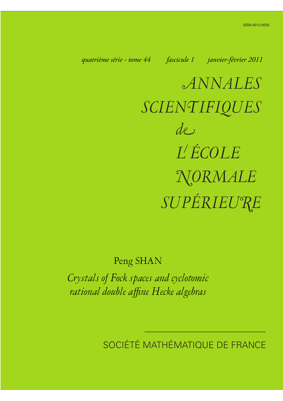<span id="page-0-0"></span>*quatrième série - tome 44 fascicule 1 janvier-février 2011*

*ANNALES SCIENTIFIQUES SUPÉRIEURE de L ÉCOLE NORMALE*

Peng SHAN

*Crystals of Fock spaces and cyclotomic rational double affine Hecke algebras*

SOCIÉTÉ MATHÉMATIQUE DE FRANCE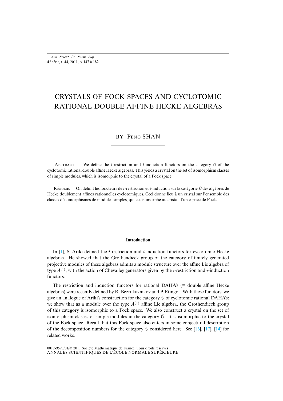*Ann. Scient. Éc. Norm. Sup.* 4 e série, t. 44, 2011, p. 147 à 182

# CRYSTALS OF FOCK SPACES AND CYCLOTOMIC RATIONAL DOUBLE AFFINE HECKE ALGEBRAS

# BY PENG SHAN

ABSTRACT. – We define the *i*-restriction and *i*-induction functors on the category  $\theta$  of the cyclotomic rational double affine Hecke algebras. This yields a crystal on the set of isomorphism classes of simple modules, which is isomorphic to the crystal of a Fock space.

Résumé. – On définit les foncteurs de *i*-restriction et *i*-induction sur la catégorie  $\emptyset$  des algèbres de Hecke doublement affines rationnelles cyclotomiques. Ceci donne lieu à un cristal sur l'ensemble des classes d'isomorphismes de modules simples, qui est isomorphe au cristal d'un espace de Fock.

# **Introduction**

In  $[1]$ , S. Ariki defined the *i*-restriction and *i*-induction functors for cyclotomic Hecke algebras. He showed that the Grothendieck group of the category of finitely generated projective modules of these algebras admits a module structure over the affine Lie algebra of type  $A^{(1)}$ , with the action of Chevalley generators given by the *i*-restriction and *i*-induction functors.

The restriction and induction functors for rational DAHA's (= double affine Hecke algebras) were recently defined by R. Bezrukavnikov and P. Etingof. With these functors, we give an analogue of Ariki's construction for the category  $\Theta$  of cyclotomic rational DAHA's: we show that as a module over the type  $A^{(1)}$  affine Lie algebra, the Grothendieck group of this category is isomorphic to a Fock space. We also construct a cry[sta](#page-36-0)l [on t](#page-36-1)h[e se](#page-36-2)t of isomorphism classes of simple modules in the category  $\theta$ . It is isomorphic to the crystal of the Fock space. Recall that this Fock space also enters in some conjectural description of the decomposition numbers for the category  $\Theta$  considered here. See [16], [17], [14] for related works.

ANNALES SCIENTIFIQUES DE L'ÉCOLE NORMALE SUPÉRIEURE 0012-9593/01/© 2011 Société Mathématique de France. Tous droits réservés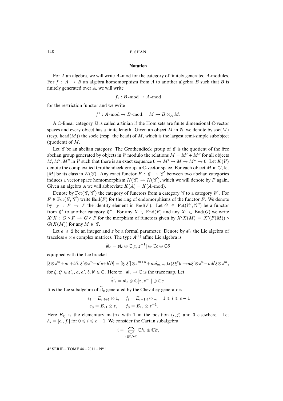#### **Notation**

For A an algebra, we will write A -mod for the category of finitely generated A-modules. For  $f : A \rightarrow B$  an algebra homomorphism from A to another algebra B such that B is finitely generated over A, we will write

$$
f_* : B\operatorname{-mod} \to A\operatorname{-mod}
$$

for the restriction functor and we write

$$
f^*: A\operatorname{-mod} \to B\operatorname{-mod}, \quad M \mapsto B \otimes_A M.
$$

A  $\mathbb C$ -linear category  $\mathscr C$  is called artinian if the Hom sets are finite dimensional  $\mathbb C$ -vector spaces and every object has a finite length. Given an object M in  $\mathcal{A}$ , we denote by soc $(M)$ (resp. head $(M)$ ) the socle (resp. the head) of M, which is the largest semi-simple subobject (quotient) of M.

Let  $\mathscr C$  be an abelian category. The Grothendieck group of  $\mathscr C$  is the quotient of the free abelian group generated by objects in C modulo the relations  $M = M' + M''$  for all objects  $M, M', M''$  in  $\mathcal C$  such that there is an exact sequence  $0 \to M' \to M \to M'' \to 0$ . Let  $K(\mathcal C)$ denote the complexified Grothendieck group, a  $\mathbb{C}$ -vector space. For each object M in  $\mathscr{C}$ , let [M] be its class in  $K(\mathcal{C})$ . Any exact functor  $F : \mathcal{C} \to \mathcal{C}'$  between two abelian categories induces a vector space homomorphism  $K(\mathcal{C}) \to K(\mathcal{C}')$ , which we will denote by F again. Given an algebra A we will abbreviate  $K(A) = K(A \text{-mod}).$ 

Denote by  $\text{Fct}(\mathcal{C}, \mathcal{C}')$  the category of functors from a category  $\mathcal{C}$  to a category  $\mathcal{C}'$ . For  $F \in \text{Fct}(\mathcal{C}, \mathcal{C}')$  write  $\text{End}(F)$  for the ring of endomorphisms of the functor F. We denote by  $1_F : F \to F$  the identity element in End(F). Let  $G \in \text{Fct}(\mathcal{C}', \mathcal{C}'')$  be a functor from  $\mathcal{C}'$  to another category  $\mathcal{C}''$ . For any  $X \in \text{End}(F)$  and any  $X' \in \text{End}(G)$  we write  $X'X : G \circ F \to G \circ F$  for the morphism of functors given by  $X'X(M) = X'(F(M)) \circ$  $G(X(M))$  for any  $M \in \mathcal{C}$ .

Let  $e \geqslant 2$  be an integer and z be a formal parameter. Denote by  $\mathfrak{sl}_e$  the Lie algebra of traceless  $e \times e$  complex matrices. The type  $A^{(1)}$  affine Lie algebra is

$$
\widetilde{\mathfrak{sl}}_e = \mathfrak{sl}_e \otimes \mathbb{C}[z, z^{-1}] \oplus \mathbb{C}c \oplus \mathbb{C}\partial
$$

equipped with the Lie bracket

$$
[\xi \otimes z^m + ac + b\partial, \xi' \otimes z^n + a'c + b'\partial] = [\xi, \xi'] \otimes z^{m+n} + m\delta_{m,-n} \text{tr}(\xi \xi')c + nb \xi' \otimes z^n - mb' \xi \otimes z^m,
$$
  
for  $\xi, \xi' \in \mathfrak{sl}_e, a, a', b, b' \in \mathbb{C}$ . Here  $\text{tr}: \mathfrak{sl}_e \to \mathbb{C}$  is the trace map. Let

$$
\widehat{\mathfrak{sl}}_e = \mathfrak{sl}_e \otimes \mathbb{C}[z, z^{-1}] \oplus \mathbb{C}c.
$$

It is the Lie subalgebra of  $\widetilde{\mathfrak{sl}}_e$  generated by the Chevalley generators

$$
e_i = E_{i,i+1} \otimes 1, \quad f_i = E_{i+1,i} \otimes 1, \quad 1 \le i \le e-1
$$
  

$$
e_0 = E_{e1} \otimes z, \quad f_0 = E_{1e} \otimes z^{-1}.
$$

Here  $E_{ij}$  is the elementary matrix with 1 in the position  $(i, j)$  and 0 elsewhere. Let  $h_i = [e_i, f_i]$  for  $0 \le i \le e-1$ . We consider the Cartan subalgebra

$$
\mathfrak{t}=\bigoplus_{i\in\mathbb{Z}/e\mathbb{Z}}\mathbb{C}h_i\oplus\mathbb{C}\partial,
$$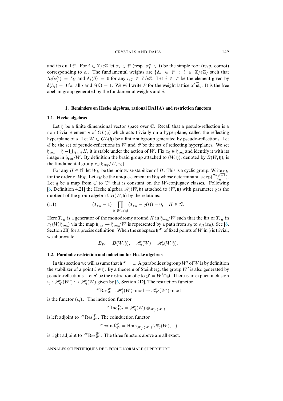#### CRYSTALS AND DAHA 149

and its dual  $\mathfrak{t}^*$ . For  $i \in \mathbb{Z}/e\mathbb{Z}$  let  $\alpha_i \in \mathfrak{t}^*$  (resp.  $\alpha_i^{\vee} \in \mathfrak{t}$ ) be the simple root (resp. coroot) corresponding to  $e_i$ . The fundamental weights are  $\{\Lambda_i \in \mathfrak{t}^* : i \in \mathbb{Z}/e\mathbb{Z}\}\$  such that  $\Lambda_i(\alpha_j^{\vee}) = \delta_{ij}$  and  $\Lambda_i(\partial) = 0$  for any  $i, j \in \mathbb{Z}/e\mathbb{Z}$ . Let  $\delta \in \mathfrak{t}^*$  be the element given by  $\delta(h_i) = 0$  for all i and  $\delta(\partial) = 1$ . We will write P for the weight lattice of  $\mathfrak{sl}_e$ . It is the free abelian group generated by the fundamental weights and  $\delta$ .

# **1. Reminders on Hecke algebras, rational DAHA's and restriction functors**

# **1.1. Hecke algebras**

Let  $\mathfrak h$  be a finite dimensional vector space over  $\mathbb C$ . Recall that a pseudo-reflection is a non trivial element s of  $GL(\mathfrak{h})$  which acts trivially on a hyperplane, called the reflecting hyperplane of s. Let  $W \subset GL(\mathfrak{h})$  be a finite subgroup generated by pseudo-reflections. Let  $\beta$  be the set of pseudo-reflections in W and  $\alpha$  be the set of reflecting hyperplanes. We set  $\mathfrak{h}_{\text{reg}} = \mathfrak{h} - \bigcup_{H \in \mathcal{C}} H$ , it is stable under the action of W. Fix  $x_0 \in \mathfrak{h}_{\text{reg}}$  and identify it with its image in  $\mathfrak{h}_{\text{reg}}/W$ . By definition the braid group attached to  $(W, \mathfrak{h})$ , denoted by  $B(W, \mathfrak{h})$ , is the fundamental group  $\pi_1(\mathfrak{h}_{\text{reg}}/W, x_0)$ .

For any  $H \in \mathcal{C}$ , let  $W_H$  be the pointwise stabilizer of H. This is a cyclic group. Write  $e_H$ for the order of  $W_H$ . Let  $s_H$  be the unique element in  $W_H$  whose determinant is  $\exp(\frac{2\pi\sqrt{-1}}{e_H})$ . Let q be a map from  $\beta$  to  $\mathbb{C}^*$  that is constant on the W-conjugacy classes. Following [6, Definition 4.21] the Hecke algebra  $\mathcal{H}_q(W, \mathfrak{h})$  attached to  $(W, \mathfrak{h})$  with parameter q is the quotient of the group algebra  $\mathbb{C}B(W, \mathfrak{h})$  by the relations:

(1.1) 
$$
(T_{s_H}-1)\prod_{t\in W_H\cap\mathcal{J}}(T_{s_H}-q(t))=0, \quad H\in\mathcal{U}.
$$

<span id="page-3-0"></span>Here  $T_{s_H}$  is a generator of the monodromy around H in  $\mathfrak{h}_{reg}/W$  such that the lift of  $T_{s_H}$  in  $\pi_1(W, \mathfrak{h}_{\text{reg}})$  via the map  $\mathfrak{h}_{\text{reg}} \to \mathfrak{h}_{\text{reg}}/W$  is represented by a path from  $x_0$  to  $s_H(x_0)$ . See [6, Section 2B] for a precise definition. When the subspace  $\mathfrak{h}^W$  of fixed points of W in h is trivial, we abbreviate

$$
B_W = B(W, \mathfrak{h}), \quad \mathscr{H}_q(W) = \mathscr{H}_q(W, \mathfrak{h}).
$$

# **1.2. Parabolic restriction and induction for Hecke algebras**

In this section we will assume th[at](#page-36-3)  $\mathfrak{h}^W = 1$ . A parabolic subgroup W' of W is by definition the stabilizer of a point  $b \in \mathfrak{h}$ . By a theorem of Steinberg, the group W' is also generated by pseudo-reflections. Let q' be the restriction of q to  $\beta' = W' \cap \beta$ . There is an explicit inclusion  $u_q : \mathcal{H}_{q'}(W') \hookrightarrow \mathcal{H}_q(W)$  given by [6, Section 2D]. The restriction functor

$$
{}^{\mathscr{H}}\text{Res}^W_{W'}:\mathscr{H}_q(W)\operatorname{-mod}\to\mathscr{H}_{q'}(W')\operatorname{-mod}
$$

is the functor  $(i_q)_*$ . The induction functor

 $\mathscr{H}\mathrm{Ind}_{W'}^W=\mathscr{H}_q(W)\otimes_{\mathscr{H}_{q'}(W')} -$ 

is left adjoint to  $\mathcal{H} \text{Res}_{W'}^W$ . The coinduction functor

$$
^{\mathscr{H}}\mathrm{coInd}_{W'}^W=\mathrm{Hom}_{\mathscr{H}_{q'}(W')}(\mathscr{H}_q(W),-)
$$

is right adjoint to  $\mathcal{H}_{\text{Res}_{W'}^W}$ . The three functors above are all exact.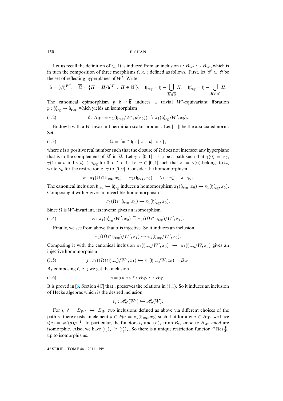Let us recall the definition of  $i_q$ . It is induced from an inclusion  $i : B_{W'} \hookrightarrow B_W$ , which is in turn the composition of three morphisms  $\ell, \kappa, \jmath$  defined as follows. First, let  $\mathcal{C}' \subset \mathcal{C}$  be the set of reflecting hyperplanes of  $W'$ . Write

$$
\overline{\mathfrak{h}} = \mathfrak{h}/\mathfrak{h}^{W'}, \quad \overline{\mathcal{C}} = \{ \overline{H} = H/\mathfrak{h}^{W'} : H \in \mathcal{C}' \}, \quad \overline{\mathfrak{h}}_{\text{reg}} = \overline{\mathfrak{h}} - \bigcup_{\overline{H} \in \overline{\mathcal{C}}} \overline{H}, \quad \mathfrak{h}'_{\text{reg}} = \mathfrak{h} - \bigcup_{H \in \mathcal{C}'} H.
$$

<span id="page-4-1"></span>The canonical epimorphism  $p : \mathfrak{h} \to \overline{\mathfrak{h}}$  induces a trivial W'-equivariant fibration  $p: \mathfrak{h}'_{\text{reg}} \to \overline{\mathfrak{h}}_{\text{reg}}$ , which yields an isomorphism

(1.2) 
$$
\ell: B_{W'} = \pi_1(\overline{\mathfrak{h}}_{\text{reg}}/W', p(x_0)) \xrightarrow{\sim} \pi_1(\mathfrak{h}'_{\text{reg}}/W', x_0).
$$

Endow h with a W-invariant hermitian scalar product. Let  $|| \cdot ||$  be the associated norm. Set

$$
(1.3) \qquad \qquad \Omega = \{x \in \mathfrak{h} : ||x - b|| < \varepsilon\},
$$

where  $\varepsilon$  is a positive real number such that the closure of  $\Omega$  does not intersect any hyperplane that is in the complement of  $\mathcal{C}'$  in  $\mathcal{C}$ . Let  $\gamma : [0,1] \to \mathfrak{h}$  be a path such that  $\gamma(0) = x_0$ ,  $\gamma(1) = b$  and  $\gamma(t) \in \mathfrak{h}_{reg}$  for  $0 < t < 1$ . Let  $u \in [0,1]$  such that  $x_1 = \gamma(u)$  belongs to  $\Omega$ , write  $\gamma_u$  for the restriction of  $\gamma$  to [0, u]. Consider the homomorphism

<span id="page-4-2"></span>
$$
\sigma: \pi_1(\Omega \cap \mathfrak{h}_{\mathrm{reg}}, x_1) \to \pi_1(\mathfrak{h}_{\mathrm{reg}}, x_0), \quad \lambda \mapsto \gamma_u^{-1} \cdot \lambda \cdot \gamma_u.
$$

The canonical inclusion  $\mathfrak{h}_{\text{reg}} \hookrightarrow \mathfrak{h}_{\text{reg}}'$  induces a homomorphism  $\pi_1(\mathfrak{h}_{\text{reg}}, x_0) \to \pi_1(\mathfrak{h}_{\text{reg}}', x_0)$ . Composing it with  $\sigma$  gives an invertible homomorphism

<span id="page-4-3"></span>
$$
\pi_1(\Omega \cap \mathfrak{h}_{\mathrm{reg}}, x_1) \to \pi_1(\mathfrak{h}'_{\mathrm{reg}}, x_0).
$$

Since  $\Omega$  is W'-invariant, its inverse gives an isomorphism

(1.4) 
$$
\kappa : \pi_1(\mathfrak{h}'_{\mathrm{reg}}/W', x_0) \xrightarrow{\sim} \pi_1((\Omega \cap \mathfrak{h}_{\mathrm{reg}})/W', x_1).
$$

Finally, we see from above that  $\sigma$  is injective. So it induces an inclusion

<span id="page-4-0"></span>
$$
\pi_1((\Omega\cap\mathfrak{h}_{\text{reg}})/W',x_1)\hookrightarrow \pi_1(\mathfrak{h}_{\text{reg}}/W',x_0).
$$

Composing it with the canonical inclusion  $\pi_1(\mathfrak{h}_{\text{reg}}/W', x_0) \hookrightarrow \pi_1(\mathfrak{h}_{\text{reg}}/W, x_0)$  gives an injective homomorphism

(1.5) 
$$
j : \pi_1((\Omega \cap \mathfrak{h}_{reg})/W', x_1) \hookrightarrow \pi_1(\mathfrak{h}_{reg}/W, x_0) = B_W.
$$

By composing  $\ell, \kappa, \gamma$  we get the inclusion

$$
(1.6) \t\t\t i = j \circ \kappa \circ \ell : B_{W'} \hookrightarrow B_W.
$$

It is proved in [6, Section 4C] that  $\imath$  preserves the relations in (1.1). So it induces an inclusion of Hecke algebras which is the desired inclusion

$$
\iota_q: \mathscr{H}_{q'}(W') \hookrightarrow \mathscr{H}_q(W).
$$

For  $i, i' : B_{W'} \hookrightarrow B_W$  two inclusions defined as above via different choices of the path  $\gamma$ , there exists an element  $\rho \in P_W = \pi_1(\mathfrak{h}_{\text{reg}}, x_0)$  such that for any  $a \in B_{W'}$  we have  $u(a) = \rho v'(a) \rho^{-1}$ . In particular, the functors  $u_*$  and  $(v')_*$  from  $B_W$ -mod to  $B_{W'}$ -mod are isomorphic. Also, we have  $(i_q)_* \cong (i'_q)_*$ . So there is a unique restriction functor  $^{\mathcal{H}}$ Res $^W_{W'}$ up to isomorphisms.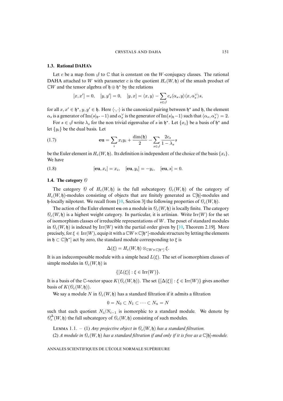#### **1.3. Rational DAHA's**

Let c be a map from  $\mathcal{J}$  to  $\mathbb{C}$  that is constant on the W-conjugacy classes. The rational DAHA attached to W with parameter c is the quotient  $H_c(W, \mathfrak{h})$  of the smash product of  $\mathbb{C}W$  and the tensor algebra of  $\mathfrak{h} \oplus \mathfrak{h}^*$  by the relations

$$
[x, x']=0, \quad [y, y']=0, \quad [y, x]=\langle x, y\rangle - \sum_{s\in \mathcal{J}}c_s\langle \alpha_s, y\rangle \langle x, \alpha_s^{\vee}\rangle s,
$$

for all  $x, x' \in \mathfrak{h}^*, y, y' \in \mathfrak{h}$ . Here  $\langle \cdot, \cdot \rangle$  is the canonical pairing between  $\mathfrak{h}^*$  and  $\mathfrak{h}$ , the element  $\alpha_s$  is a generator of Im(s|<sub>h</sub>∗-1) and  $\alpha_s^{\vee}$  is the generator of Im(s|<sub>h</sub>-1) such that  $\langle \alpha_s, \alpha_s^{\vee} \rangle = 2$ .

For  $s \in \mathcal{S}$  write  $\lambda_s$  for the non trivial eigenvalue of s in  $\mathfrak{h}^*$ . Let  $\{x_i\}$  be a basis of  $\mathfrak{h}^*$  and let  $\{y_i\}$  be the dual basis. Let

(1.7) 
$$
\mathbf{eu} = \sum_i x_i y_i + \frac{\dim(\mathfrak{h})}{2} - \sum_{s \in \mathcal{J}} \frac{2c_s}{1 - \lambda_s} s
$$

be the Euler element in  $H_c(W, \mathfrak{h})$ . Its definition is independent of the choice of the basis  $\{x_i\}$ . We have

(1.8)  $[\mathbf{eu}, x_i] = x_i, \quad [\mathbf{eu}, y_i] = -y_i, \quad [\mathbf{eu}, s] = 0.$ 

# **1.4. The category** O

The category  $\Theta$  of  $H_c(W, \mathfrak{h})$  is the full subcategory  $\Theta_c(W, \mathfrak{h})$  of the category of  $H_c(W, \mathfrak{h})$ -modules consisting of objects that are finitely generated as  $\mathbb{C}[\mathfrak{h}]$ -modules and h-locally nilpotent. We recall from [10, Section 3] the following properties of  $\mathcal{O}_c(W, \mathfrak{h})$ .

The action of the Euler element eu on a module in  $\mathcal{O}_c(W, \mathfrak{h})$  is l[oca](#page-36-4)lly finite. The category  $\mathcal{O}_c(W, \mathfrak{h})$  is a highest weight category. In particular, it is artinian. Write Irr(W) for the set of isomorphism classes of irreducible representations of  $W$ . The poset of standard modules in  $\mathcal{O}_c(W, \mathfrak{h})$  is indexed by Irr(W) with the partial order given by [10, Theorem 2.19]. More precisely, for  $\xi \in \text{Irr}(W)$ , equip it with a  $\mathbb{C}W \ltimes \mathbb{C}[\mathfrak{h}^*]$ -module structure by letting the elements in  $\mathfrak{h} \subset \mathbb{C}[\mathfrak{h}^*]$  act by zero, the standard module corresponding to  $\xi$  is

$$
\Delta(\xi)=H_c(W,\mathfrak{h})\otimes_{\mathbb{C} W\ltimes \mathbb{C}[\mathfrak{h}^*]}\xi.
$$

It is an indecomposable module with a simple head  $L(\xi)$ . The set of isomorphism classes of simple modules in  $\mathcal{O}_c(W, \mathfrak{h})$  is

$$
\{[L(\xi)]: \xi \in \operatorname{Irr}(W)\}.
$$

It is a basis of the C-vector space  $K(\mathcal{O}_{c}(W, \mathfrak{h}))$ . The set  $\{[\Delta(\xi)]: \xi \in \text{Irr}(W)\}\$  gives another basis of  $K(\mathcal{O}_c(W, \mathfrak{h}))$ .

We say a module N in  $\mathcal{O}_c(W, \mathfrak{h})$  has a standard filtration if it admits a filtration

$$
0 = N_0 \subset N_1 \subset \cdots \subset N_n = N
$$

such that each quotient  $N_i/N_{i-1}$  is isomorphic to a standard module. We denote by  $\mathcal{O}_c^\Delta(W,\mathfrak{h})$  the full subcategory of  $\mathcal{O}_c(W,\mathfrak{h})$  consisting of such modules.

LEMMA 1.1. – (1) *Any projective object in*  $\mathcal{O}_c(W, \mathfrak{h})$  *has a standard filtration.* (2) *A module in*  $\mathcal{O}_c(W, \mathfrak{h})$  *has a standard filtration if and only if it is free as a*  $\mathbb{C}[\mathfrak{h}]$ *-module.*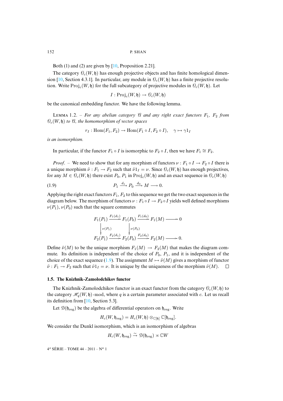Both (1) and (2) are given by  $[10,$  Proposition 2.21].

The category  $\mathcal{O}_c(W, \mathfrak{h})$  has enough projective objects and has finite homological dimension [10, Section 4.3.1]. In particular, any module in  $\mathcal{O}_c(W, \mathfrak{h})$  has a finite projective resolution. Write  $\text{Proj}_c(W, \mathfrak{h})$  for the full subcategory of projective modules in  $\mathcal{O}_c(W, \mathfrak{h})$ . Let

$$
I: \mathrm{Proj}_c(W, \mathfrak{h}) \to \mathcal{O}_c(W, \mathfrak{h})
$$

be the canonical embedding functor. We have the following lemma.

LEMMA 1.2. – For any abelian category  $\mathcal{A}$  and any right exact functors  $F_1$ ,  $F_2$  from  $\mathcal{O}_c(W, \mathfrak{h})$  *to*  $\mathcal{O}_c$ *, the homomorphism of vector spaces* 

<span id="page-6-0"></span>
$$
r_I : \text{Hom}(F_1, F_2) \to \text{Hom}(F_1 \circ I, F_2 \circ I), \quad \gamma \mapsto \gamma 1_I
$$

*is an isomorphism.*

In particular, if the functor  $F_1 \circ I$  is isomorphic to  $F_2 \circ I$ , then we have  $F_1 \cong F_2$ .

*Proof.* – We need to show that for any morphism of functors  $\nu : F_1 \circ I \to F_2 \circ I$  there is a unique morphism  $\tilde{\nu}: F_1 \to F_2$  such that  $\tilde{\nu}1_I = \nu$ . Since  $\mathcal{O}_c(W, \mathfrak{h})$  has enough projectives, for any  $M \in \mathcal{O}_c(W, \mathfrak{h})$  there exist  $P_0$ ,  $P_1$  in  $\text{Proj}_c(W, \mathfrak{h})$  and an exact sequence in  $\mathcal{O}_c(W, \mathfrak{h})$ 

$$
(1.9) \t\t P_1 \xrightarrow{d_1} P_0 \xrightarrow{d_0} M \longrightarrow 0.
$$

Applying the right exact functors  $F_1, F_2$  to this sequence we get the two exact sequences in the diagram below. The morphism of functors  $\nu : F_1 \circ I \to F_2 \circ I$  yields well defined morphisms  $\nu(P_1)$ ,  $\nu(P_0)$  such that the square commutes

$$
F_1(P_1) \xrightarrow{F_1(d_1)} F_1(P_0) \xrightarrow{F_1(d_0)} F_1(M) \longrightarrow 0
$$
  
\n
$$
\downarrow \nu(P_1) \qquad \qquad \downarrow \nu(P_0)
$$
  
\n
$$
F_2(P_1) \xrightarrow{F_2(d_1)} F_2(P_0) \xrightarrow{F_2(d_0)} F_2(M) \longrightarrow 0.
$$

<span id="page-6-1"></span>Define  $\tilde{\nu}(M)$  to be the unique morphism  $F_1(M) \to F_2(M)$  that makes the diagram commute. Its definition is independent of the choice of  $P_0$ ,  $P_1$ , and it is independent of the choice of the exact sequence (1.9). The assignment  $M \mapsto \tilde{\nu}(M)$  gives a morphism of functor  $\tilde{\nu}: F_1 \to F_2$  such that  $\tilde{\nu}1_I = \nu$ . It is unique by the uniqueness of the morphism  $\tilde{\nu}(M)$ .  $\Box$ 

#### **1.5. The Knizhnik-[Zam](#page-36-4)olodchikov functor**

The Knizhnik-Zamolodchikov functor is an exact functor from the category  $\mathcal{O}_c(W, \mathfrak{h})$  to the category  $\mathcal{H}_a(W, \mathfrak{h})$ -mod, where q is a certain parameter associated with c. Let us recall its definition from [10, Section 5.3].

Let  $\mathcal{D}(\mathfrak{h}_{\text{reg}})$  be the algebra of differential operators on  $\mathfrak{h}_{\text{reg}}$ . Write

$$
H_c(W, \mathfrak{h}_{reg}) = H_c(W, \mathfrak{h}) \otimes_{\mathbb{C}[\mathfrak{h}]} \mathbb{C}[\mathfrak{h}_{reg}].
$$

We consider the Dunkl isomorphism, which is an isomorphism of algebras

$$
H_c(W, \mathfrak{h}_{\text{reg}}) \stackrel{\sim}{\rightarrow} \mathscr{D}(\mathfrak{h}_{\text{reg}}) \rtimes \mathbb{C}W
$$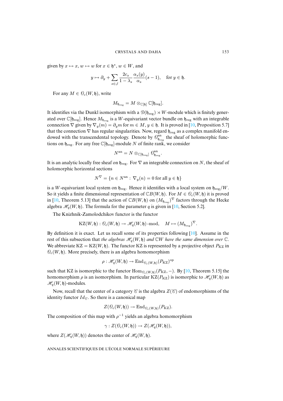given by  $x \mapsto x$ ,  $w \mapsto w$  for  $x \in \mathfrak{h}^*$ ,  $w \in W$ , and

$$
y \mapsto \partial_y + \sum_{s \in \mathcal{J}} \frac{2c_s}{1 - \lambda_s} \frac{\alpha_s(y)}{\alpha_s} (s - 1), \text{ for } y \in \mathfrak{h}.
$$

For any  $M \in \mathcal{O}_c(W, \mathfrak{h})$ , write

$$
M_{\mathfrak{h}_{\mathrm{reg}}} = M \otimes_{\mathbb{C}[\mathfrak{h}]} \mathbb{C}[\mathfrak{h}_{\mathrm{reg}}].
$$

It identifies via the Dunkl isomorphism with a  $\mathcal{D}(\mathfrak{h}_{\text{rec}}) \rtimes W$ -module which is finitely generated over  $\mathbb{C}[\mathfrak{h}_{\text{reg}}]$ . Hence  $M_{\mathfrak{h}_{\text{reg}}}$  is a W-equivariant vector bundle on  $\mathfrak{h}_{\text{reg}}$  with an integrable connection  $\nabla$  given by  $\nabla_y(m) = \partial_y m$  for  $m \in M$ ,  $y \in \mathfrak{h}$ . It is proved in [10, Proposition 5.7] that the connection  $\nabla$  has regular singularities. Now, regard  $\mathfrak{h}_{reg}$  as a complex manifold endowed with the transcendental topology. Denote by  $\mathcal{O}_{\mathfrak{h}_{reg}}^{\rm an}$  the sheaf of holomorphic functions on  $\mathfrak{h}_{\text{reg}}$ . For any free  $\mathbb{C}[\mathfrak{h}_{\text{reg}}]$ -module N of finite rank, we consider

$$
N^{\mathrm{an}}=N\otimes_{\mathbb{C}[\mathfrak{h}_{\mathrm{reg}}]}\mathcal{O}_{\mathfrak{h}_{\mathrm{reg}}}^{\mathrm{an}}.
$$

It is an analytic locally free sheaf on  $\mathfrak{h}_{reg}$ . For  $\nabla$  an integrable connection on N, the sheaf of holomorphic horizontal sections

$$
N^{\nabla} = \{ n \in N^{\text{an}} : \nabla_y(n) = 0 \text{ for all } y \in \mathfrak{h} \}
$$

is a W-equivariant local system on  $\mathfrak{h}_{\text{reg}}$ . Hence it identifies wit[h a](#page-36-4) local system on  $\mathfrak{h}_{\text{reg}}/W$ . So it yields a finite dimensional representation of  $\mathbb{C}B(W, \mathfrak{h})$ . For  $M \in \mathcal{O}_{c}(W, \mathfrak{h})$  it is proved in [10, Theorem 5.13] that the action of  $\mathbb{C}B(W, \mathfrak{h})$  on  $(M_{\mathfrak{h}_{reg}})^{\nabla}$  factors through the Hecke algebra  $\mathcal{H}_q(W, \mathfrak{h})$ . The formula for the parameter q is given in [10, Section 5.2].

The Knizhnik-Zamolodchikov functor is the functor

$$
\mathrm{KZ}(W,\mathfrak{h}):\, \mathscr{O}_{c}(W,\mathfrak{h}) \rightarrow \mathscr{H}_{q}(W,\mathfrak{h})\operatorname{-mod}, \quad M \mapsto (M_{\mathfrak{h}_{\mathrm{reg}}})^{\nabla}.
$$

By definition it is exact. Let us recall some of its properties following  $[10]$ . Assume in the rest of this subsection that *the algebras*  $\mathcal{H}_q(W, \mathfrak{h})$  *and*  $\mathbb{C}W$  *have the same dimension over*  $\mathbb{C}$ . We abbreviate  $KZ = KZ(W, \mathfrak{h})$ . The functor KZ is represented by a projective object  $P_{KZ}$  in  $\mathcal{O}_c(W, \mathfrak{h})$ . More precisely, there is an algebra homomorphism

$$
\rho: \mathscr{H}_q(W, \mathfrak{h}) \to \mathrm{End}_{\mathcal{O}_c(W, \mathfrak{h})}(P_{\mathrm{KZ}})^{\mathrm{op}}
$$

such that KZ is isomorphic to the functor  $\text{Hom}_{\theta_c(W, \mathfrak{h})}(P_{\text{KZ}}, -)$ . By [10, Theorem 5.15] the homomorphism  $\rho$  is an isomorphism. In particular KZ( $P_{KZ}$ ) is isomorphic to  $\mathcal{H}_q(W, \mathfrak{h})$  as  $\mathcal{H}_q(W, \mathfrak{h})$ -modules.

Now, recall that the center of a category  $\mathcal C$  is the algebra  $Z(\mathcal C)$  of endomorphisms of the identity functor  $Id_{\mathcal{C}}$ . So there is a canonical map

$$
Z(\mathcal{O}_{c}(W, \mathfrak{h})) \to \mathrm{End}_{\mathcal{O}_{c}(W, \mathfrak{h})}(P_{\mathrm{KZ}}).
$$

The composition of this map with  $\rho^{-1}$  yields an algebra homomorphism

$$
\gamma: Z(\mathcal{O}_{c}(W, \mathfrak{h})) \to Z(\mathscr{H}_{q}(W, \mathfrak{h})),
$$

where  $Z(\mathcal{H}_q(W, \mathfrak{h}))$  denotes the center of  $\mathcal{H}_q(W, \mathfrak{h})$ .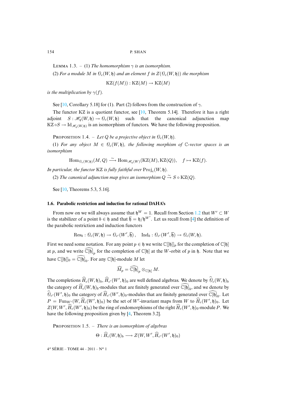LEMMA 1.3. – (1) *The homomorphism*  $\gamma$  *is an isomorphism.* 

(2) *For a module M in*  $\mathcal{O}_c(W, \mathfrak{h})$  *and an element f in*  $Z(\mathcal{O}_c(W, \mathfrak{h}))$  *the morphism* 

 $KZ(f(M)) : KZ(M) \to KZ(M)$ 

*is the multiplication by*  $\gamma(f)$ *.* 

See [10, Corollary 5.18] for (1). Part (2) follows from the construction of  $\gamma$ .

The functor KZ is a quotient functor, see  $[10,$  Theorem 5.14]. Therefore it has a right adjoint  $S : \mathcal{H}_a(W, \mathfrak{h}) \to \mathcal{O}_c(W, \mathfrak{h})$  such that the canonical adjunction map  $KZ \circ S \to \text{Id}_{\mathcal{H}_q(W, \mathfrak{h})}$  is an isomorphism of functors. We have the following proposition.

PROPOSITION 1.4. – Let Q be a projective object in  $\mathcal{O}_c(W, \mathfrak{h})$ .

(1) For any object  $M \in \mathcal{O}_{c}(W, \mathfrak{h})$ , the following morphism of  $\mathbb{C}$ -vector spaces is an *isomorphism*

$$
\operatorname{Hom}_{\mathcal{O}_c(W, \mathfrak{h})}(M, Q) \xrightarrow{\sim} \operatorname{Hom}_{\mathscr{H}_q(W)}(\operatorname{KZ}(M), \operatorname{KZ}(Q)), \quad f \mapsto \operatorname{KZ}(f).
$$

In part[icul](#page-36-4)ar, the functor KZ is fully faithful over  $\text{Proj}_c(W, \mathfrak{h})$ .

(2) The canonical adjunction map gives an isomorphism  $Q \stackrel{\sim}{\rightarrow} S \circ {\rm KZ}(Q)$ .

See [10, Theorems 5.3, 5.16].

# **1.6. Parabolic restriction and induction for rational DAHA's**

From now on we will always assume that  $\mathfrak{h}^W = 1$ . Recall from Section 1.2 that  $W' \subset W$ is the stabilizer of a point  $b \in \mathfrak{h}$  and that  $\overline{\mathfrak{h}} = \mathfrak{h}/\mathfrak{h}^{W'}$ . Let us recall from [4] the definition of the parabolic restriction and induction functors

$$
\mathrm{Res}_b: \mathcal{O}_c(W, \mathfrak{h}) \to \mathcal{O}_{c'}(W', \overline{\mathfrak{h}}), \quad \mathrm{Ind}_b: \mathcal{O}_{c'}(W', \overline{\mathfrak{h}}) \to \mathcal{O}_c(W, \mathfrak{h}).
$$

First we need some notation. For any point  $p \in \mathfrak{h}$  we write  $\mathbb{C}[[\mathfrak{h}]]_p$  for the completion of  $\mathbb{C}[\mathfrak{h}]$ at p, and we write  $\widetilde{\mathbb{C}}[\mathfrak{h}]_p$  for the completion of  $\mathbb{C}[\mathfrak{h}]$  at the W-orbit of p in h. Note that we have  $\mathbb{C}[[\mathfrak{h}]]_0 = \widehat{\mathbb{C}}[\widehat{\mathfrak{h}}]_0$ . For any  $\mathbb{C}[\mathfrak{h}]$ -module M let

$$
\widehat{M}_p = \widehat{\mathbb{C}}[\widehat{\mathfrak{h}}]_p \otimes_{\mathbb{C}[\mathfrak{h}]} M.
$$

The completions  $\widehat{H}_c(W, \mathfrak{h})_b$ ,  $\widehat{H}_{c'}(W', \mathfrak{h})_0$  are well defined algebras. We denote by  $\mathcal{O}_c(W, \mathfrak{h})_b$ the category of  $\widehat{H}_c(W, \mathfrak{h})_b$ -modules that are finitely generated over  $\widehat{\mathbb{C}}[\mathfrak{h}]_b$ , and we denote by  $\widehat{\theta}_{c'}(W', \mathfrak{h})_0$  the category of  $\widehat{H}_{c'}(W', \mathfrak{h})_0$ [-m](#page-36-5)odules that are finitely generated over  $\widehat{\mathbb{C}[\mathfrak{h}]}_0$ . Let  $P = \text{Fun}_{W'}(W, \widehat{H}_c(W', \mathfrak{h})_0)$  be the set of W'-invariant maps from W to  $\widehat{H}_c(W', \mathfrak{h})_0$ . Let  $Z(W, W', \widehat{H}_c(W', \mathfrak{h})_0)$  be the ring of endomorphisms of the right  $\widehat{H}_c(W', \mathfrak{h})_0$ -module P. We have the following proposition given by [4, Theorem 3.2].

PROPOSITION 1.5. – *There is an isomorphism of algebras* 

$$
\Theta: \widehat{H}_c(W, \mathfrak{h})_b \longrightarrow Z(W, W', \widehat{H}_{c'}(W', \mathfrak{h})_0)
$$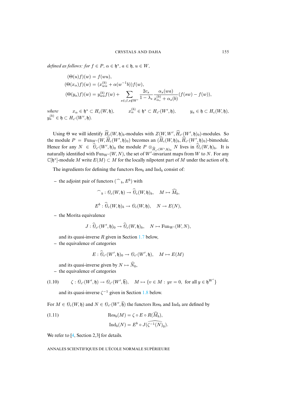$defined \ as \ follows: for \ f \in P, \ \alpha \in \mathfrak{h}^*, \ a \in \mathfrak{h}, \ u \in W,$ 

$$
(\Theta(u)f)(w) = f(wu),
$$
  
\n
$$
(\Theta(x_{\alpha})f)(w) = (x_{w\alpha}^{(b)} + \alpha(w^{-1}b))f(w),
$$
  
\n
$$
(\Theta(y_{a})f)(w) = y_{w a}^{(b)} f(w) + \sum_{s \in \emptyset, s \notin W'} \frac{2c_{s}}{1 - \lambda_{s}} \frac{\alpha_{s}(wa)}{x_{\alpha_{s}}^{(b)} + \alpha_{s}(b)} (f(sw) - f(w)),
$$
  
\nwhere  $x_{\alpha} \in \mathfrak{h}^{*} \subset H_{c}(W, \mathfrak{h}),$   $x_{\alpha}^{(b)} \in \mathfrak{h}^{*} \subset H_{c'}(W', \mathfrak{h}),$   $y_{a} \in \mathfrak{h} \subset H_{c}(W, \mathfrak{h}),$   
\n $y_{a}^{(b)} \in \mathfrak{h} \subset H_{c'}(W', \mathfrak{h}).$ 

Using  $\Theta$  we will identify  $\hat{H}_{c}(W, \mathfrak{h})_b$ -modules with  $Z(W, W', \hat{H}_{c'}(W', \mathfrak{h})_0)$ -modules. So the module  $P = \text{Fun}_{W'}(W, \hat{H}_c(W', \mathfrak{h})_0)$  becomes an  $(\hat{H}_c(W, \mathfrak{h})_b, \hat{H}_{c'}(W', \mathfrak{h})_0)$ -bimodule. Hence for any  $N \in \mathcal{O}_{c'}(W', \mathfrak{h})_0$  the module  $P \otimes_{\widehat{H}_{c'}(W', \mathfrak{h})_0} N$  lives in  $\mathcal{O}_c(W, \mathfrak{h})_b$ . It is naturally identified with Funny  $(W, N)$  the set of  $W'$ -invariant maps from  $W$  to  $N$ . For any naturally identified with  $\text{Fun}_{W'}(W, N)$ , the set of  $W'$ -invariant maps from W to N. For any  $\mathbb{C}[\mathfrak{h}^*]$ -module M write  $E(M) \subset M$  for the locally nilpotent part of M under the action of  $\mathfrak{h}$ .

The ingredients for defining the functors  $\text{Res}_b$  and  $\text{Ind}_b$  consist of:

 $-$  the adjoint pair of functors  $(\bigcap_b, E^b)$  with

$$
\widehat{\phantom{B}}_b: \widehat{\theta}_c(W, \mathfrak{h}) \to \widehat{\theta}_c(W, \mathfrak{h})_b, \quad M \mapsto \widehat{M}_b,
$$
  

$$
E^b: \widehat{\theta}_c(W, \mathfrak{h})_b \to \theta_c(W, \mathfrak{h}), \quad N \to E(N),
$$

**–** the Morita equivalence

 $where$ 

$$
J: \widehat{\mathcal{O}}_{c'}(W', \mathfrak{h})_0 \to \widehat{\mathcal{O}}_{c}(W, \mathfrak{h})_b, \quad N \mapsto \mathrm{Fun}_{W'}(W, N),
$$

and its quasi-inverse  $R$  given in Section 1.7 below,

**–** the equivalence of categories

$$
E: \widehat{\theta}_{c'}(W', \mathfrak{h})_0 \to \theta_{c'}(W', \mathfrak{h}), \quad M \mapsto E(M)
$$

<span id="page-9-0"></span>and its quasi-inverse given by  $N \mapsto \widehat{N}_0$ ,

**–** the equivalence of categories

(1.10) 
$$
\zeta: \mathcal{O}_{c'}(W', \mathfrak{h}) \to \mathcal{O}_{c'}(W', \overline{\mathfrak{h}}), \quad M \mapsto \{v \in M : yv = 0, \text{ for all } y \in \mathfrak{h}^{W'}\}
$$

and its quasi-inverse  $\zeta^{-1}$  given in Section 1.8 below.

<span id="page-9-1"></span>For  $M \in \mathcal{O}_{c}(W, \mathfrak{h})$  and  $N \in \mathcal{O}_{c'}(W', \overline{\mathfrak{h}})$  the functors  $\text{Res}_{b}$  and  $\text{Ind}_{b}$  are defined by

(1.11) 
$$
\operatorname{Res}_{b}(M) = \zeta \circ E \circ R(\widehat{M}_{b}),
$$

$$
\operatorname{Ind}_{b}(N) = E^{b} \circ J(\widehat{\zeta^{-1}(N)}_{0}).
$$

We refer to [4, Section 2,3] for details.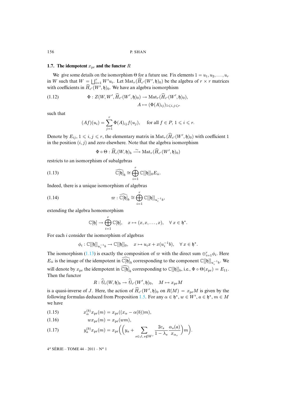# **1.7.** The idempotent  $x_{pr}$  and the functor  $R$

We give some details on the isomorphism  $\Theta$  for a future use. Fix elements  $1 = u_1, u_2, \dots, u_r$ in W such that  $W = \bigsqcup_{i=1}^r W'u_i$ . Let  $\text{Mat}_r(\widehat{H}_{c'}(W', \mathfrak{h})_0)$  be the algebra of  $r \times r$  matrices with coefficients in  $\widehat{H}_{c'}(W', \mathfrak{h})_0$ . We have an algebra isomorphism

(1.12) 
$$
\Phi: Z(W, W', \widehat{H}_{c'}(W', \mathfrak{h})_0) \to \mathrm{Mat}_r(\widehat{H}_{c'}(W', \mathfrak{h})_0),
$$

$$
A \mapsto (\Phi(A)_{ij})_{1 \leq i,j \leq r}
$$

such that

$$
(Af)(u_i) = \sum_{j=1}^r \Phi(A)_{ij} f(u_j), \quad \text{ for all } f \in P, 1 \leqslant i \leqslant r.
$$

Denote by  $E_{ij}$ ,  $1 \le i, j \le r$ , the elementary matrix in  $\text{Mat}_r(\widehat{H}_{c'}(W', \mathfrak{h})_0)$  with coefficient 1 in the position  $(i, j)$  and zero elsewhere. Note that the algebra isomorphism

<span id="page-10-2"></span><span id="page-10-0"></span>
$$
\Phi\circ\Theta:\widehat H_c(W,\mathfrak{h})_b\stackrel{\sim}{\longrightarrow} {\rm Mat}_r(\widehat H_{c'}(W',\mathfrak{h})_0)
$$

restricts to an isomorphism of subalgebras

(1.13) 
$$
\widehat{\mathbb{C}[\mathfrak{h}]}_b \cong \bigoplus_{i=1}^r \mathbb{C}[[\mathfrak{h}]]_0 E_{ii}.
$$

Indeed, there is a unique isomorphism of algebras

(1.14) 
$$
\varpi : \widehat{\mathbb{C}[\mathfrak{h}]}_b \cong \bigoplus_{i=1}^r \mathbb{C}[[\mathfrak{h}]]_{u_i^{-1}b},
$$

extending the algebra homomorphism

$$
\mathbb{C}[\mathfrak{h}]\to \bigoplus_{i=1}^r\mathbb{C}[\mathfrak{h}],\quad x\mapsto (x,x,\ldots,x),\quad \forall\ x\in \mathfrak{h}^*.
$$

For each i conside[r the i](#page-10-0)somorphism of algebras

$$
\phi_i : \mathbb{C}[[\mathfrak{h}]]_{u_i^{-1}b} \to \mathbb{C}[[\mathfrak{h}]]_0, \quad x \mapsto u_ix + x(u_i^{-1}b), \quad \forall \ x \in \mathfrak{h}^*.
$$

The isomorphism (1.13) is exactly the composition of  $\varpi$  with the direct sum  $\oplus_{i=1}^{r} \phi_i$ . Here  $E_{ii}$  is the image of the idempotent in  $\widehat{\mathbb{C}}[\widehat{\mathfrak{h}}]_b$  corresponding to the component  $\mathbb{C}[[\mathfrak{h}]]_{u_i^{-1}b}$ . We will denote by  $x_{\text{pr}}$  the idempotent in  $\widetilde{\mathbb{C}}[\mathfrak{h}]_b$  corresponding to  $\mathbb{C}[[\mathfrak{h}]]_b$ , i.e.,  $\Phi \circ \Theta(x_{\text{pr}}) = E_{11}$ . Then the functor

<span id="page-10-1"></span>
$$
R: \widehat{\mathcal{O}}_{c}(W, \mathfrak{h})_{b} \to \widehat{\mathcal{O}}_{c'}(W', \mathfrak{h})_{0}, \quad M \mapsto x_{\text{pr}}M
$$

is a quasi-inverse of J. Here, the action of  $\widehat{H}_{c'}(W', \mathfrak{h})_0$  on  $R(M) = x_{pr}M$  is given by the following formulas deduced from Proposition 1.5. For any  $\alpha \in \mathfrak{h}^*, w \in W', a \in \mathfrak{h}^*, m \in M$ we have

(1.15) 
$$
x_{\alpha}^{(b)} x_{\text{pr}}(m) = x_{\text{pr}}((x_{\alpha} - \alpha(b))m),
$$

$$
(1.16) \t w xpr(m) = xpr(wm),
$$

$$
(1.17) \t y_a^{(b)} x_{\text{pr}}(m) = x_{\text{pr}} \left( \left( y_a + \sum_{s \in \emptyset, \, s \notin W'} \frac{2c_s}{1 - \lambda_s} \frac{\alpha_s(a)}{x_{\alpha_s}} \right) m \right).
$$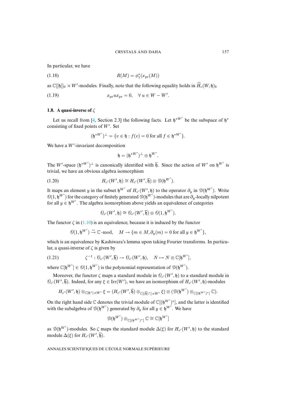<span id="page-11-0"></span>In particular, we have

<span id="page-11-2"></span>(1.18) 
$$
R(M) = \phi_1^*(x_{\text{pr}}(M))
$$

as  $\mathbb{C}[[\mathfrak{h}]]_0 \rtimes W'$ -modules. Finally, note that the following equality holds in  $\widehat{H}_c(W, \mathfrak{h})_b$ 

(1.19)  $x_{\text{pr}} u x_{\text{pr}} = 0, \quad \forall u \in W - W'.$ 

# **1.8. A quasi-inverse of** ζ

Let us recall from [4, Section 2.3] the following facts. Let  $\mathfrak{h}^{*W'}$  be the subspace of  $\mathfrak{h}^*$ consisting of fixed points of  $W'$ . Set

$$
(\mathfrak{h}^{*W'})^{\perp} = \{ v \in \mathfrak{h} : f(v) = 0 \text{ for all } f \in \mathfrak{h}^{*W'} \}.
$$

We have a  $W'$ -invariant decomposition

$$
\mathfrak{h}=(\mathfrak{h}^{*W'})^{\perp}\oplus \mathfrak{h}^{W'}.
$$

The W'-space  $(\mathfrak{h}^{*W'})^{\perp}$  is canonically identified with  $\overline{\mathfrak{h}}$ . Since the action of W' on  $\mathfrak{h}^{W'}$  is trivial, we have an obvious algebra isomorphism

(1.20) 
$$
H_{c'}(W', \mathfrak{h}) \cong H_{c'}(W', \overline{\mathfrak{h}}) \otimes \mathcal{D}(\mathfrak{h}^{W'}).
$$

It maps an element y in the subset  $\mathfrak{h}^{W'}$  of  $H_{c'}(W', \mathfrak{h})$  to the operator  $\partial_y$  in  $\mathcal{D}(\mathfrak{h}^{W'})$ . Write  $\mathcal{O}(1,\mathfrak{h}^{W'})$  for the category of finitely generated  $\mathcal{D}(\mathfrak{h}^{W'})$ -modules that are  $\partial_y$ -locally nilpotent for all  $y \in \mathfrak{h}^{W'}$ . [The al](#page-9-0)gebra isomorphism above yields an equivalence of categories

$$
\overline{\theta_{c'}}(W',\mathfrak{h})\cong \overline{\theta_{c'}}(W',\overline{\mathfrak{h}})\otimes \overline{\theta(1,\mathfrak{h}^{W'})}.
$$

The functor  $\zeta$  in (1.10) is an equivalence, because it is induced by the functor

<span id="page-11-1"></span>
$$
\mathcal{O}(1,\mathfrak{h}^{W'}) \xrightarrow{\sim} \mathbb{C}\text{-mod}, \quad M \to \{m \in M, \partial_y(m) = 0 \text{ for all } y \in \mathfrak{h}^{W'}\},
$$

which is an equivalence by Kashiwara's lemma upon taking Fourier transforms. In particular, a quasi-inverse of  $\zeta$  is given by

(1.21) 
$$
\zeta^{-1} : \mathcal{O}_{c'}(W', \overline{\mathfrak{h}}) \to \mathcal{O}_{c'}(W', \mathfrak{h}), \quad N \mapsto N \otimes \mathbb{C}[\mathfrak{h}^{W'}],
$$

where  $\mathbb{C}[\mathfrak{h}^{W'}] \in \mathcal{O}(1, \mathfrak{h}^{W'})$  is the polynomial representation of  $\mathcal{D}(\mathfrak{h}^{W'}).$ 

Moreover, the functor  $\zeta$  maps a standard module in  $\mathcal{O}_{c'}(W', \mathfrak{h})$  to a standard module in  $\mathcal{O}_{c'}(W', \overline{\mathfrak{h}})$ . Indeed, for any  $\xi \in \mathrm{Irr}(W')$ , we have an isomorphism of  $H_{c'}(W', \mathfrak{h})$ -modules

$$
H_{c'}(W',\mathfrak{h})\otimes_{\mathbb C[\mathfrak{h}^*]\rtimes W'}\xi=(H_{c'}(W',\overline{\mathfrak{h}})\otimes_{\mathbb C[(\overline{\mathfrak{h}})^*]\rtimes W'}\xi)\otimes(\mathcal D(\mathfrak{h}^{W'})\otimes_{\mathbb C[(\mathfrak{h}^{W'})^*]} \mathbb C).
$$

On the right hand side  $\mathbb C$  denotes the trivial module of  $\mathbb C[(\mathfrak h^{W'})^*]$ , and the latter is identified with the subalgebra of  $\mathcal{D}(\mathfrak{h}^{W'})$  generated by  $\partial_y$  for all  $y \in \mathfrak{h}^{W'}$ . We have

$$
\mathscr{D}(\mathfrak{h}^{W'}) \otimes_{\mathbb{C}[(\mathfrak{h}^{W'})^*]} \mathbb{C} \cong \mathbb{C}[\mathfrak{h}^{W'}]
$$

as  $\mathcal{D}(\mathfrak{h}^{W'})$ -modules. So  $\zeta$  maps the standard module  $\Delta(\xi)$  for  $H_{c'}(W', \mathfrak{h})$  to the standard module  $\Delta(\xi)$  for  $H_{c'}(W', \overline{\mathfrak{h}})$ .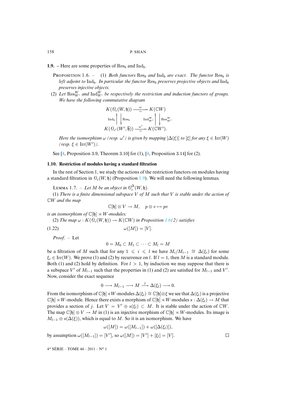**1.9.** – Here are some properties of  $\text{Res}_b$  and  $\text{Ind}_b$ .

**PROPOSITION** 1.6. – (1) *Both functors*  $\text{Res}_b$  *and*  $\text{Ind}_b$  *are exact. The functor*  $\text{Res}_b$  *is left adjoint to*  $\text{Ind}_b$ . In particular the functor  $\text{Res}_b$  preserves projective objects and  $\text{Ind}_b$ *preserves injective objects.*

(2) Let  $\text{Res}_{W'}^W$  and  $\text{Ind}_{W'}^W$  be respectively the restriction and induction functors of groups. *We have the following commutative diagram*

$$
K(\mathcal{O}_{c}(W, \mathfrak{h})) \xrightarrow{\omega} K(\mathbb{C}W)
$$
  
\n
$$
\operatorname{Ind}_{b} \wedge \operatorname{Res}_{b} \qquad \operatorname{Ind}_{W'}^{W} \wedge \operatorname{Res}_{W'}^{W}
$$
  
\n
$$
K(\mathcal{O}_{c'}(W', \overline{\mathfrak{h}})) \xrightarrow{\omega'} K(\mathbb{C}W').
$$

*[Her](#page-36-5)e the isomorphism*  $\omega$  *(resp.*  $\omega'$ *) is given b[y m](#page-36-5)apping*  $[\Delta(\xi)]$  *to*  $[\xi]$  *for any*  $\xi \in \text{Irr}(W)$  $(resp. \xi \in \text{Irr}(W')).$ 

See [4, Proposition 3.9, Theorem 3.10] for (1), [4, Proposition 3.14] for (2).

#### **1.10. Restriction of modules having a standar[d filtr](#page-0-0)ation**

In the rest of Section 1, we study the actions of the restriction functors on modules having a standard filtration in  $\mathcal{O}_c(W, \mathfrak{h})$  (Proposition 1.9). We will need the following lemmas.

LEMMA 1.7. – Let M be an object in  $\mathcal{O}_c^{\Delta}(W, \mathfrak{h})$ .

(1) *There is a finite dimensional subspace* V *of* M *such that* V *is stable under the action of* CW *and the map*

<span id="page-12-0"></span>
$$
\mathbb{C}[\mathfrak{h}] \otimes V \to M, \quad p \otimes v \mapsto pv
$$

*is an isomorphism of*  $\mathbb{C}[\mathfrak{h}] \rtimes W$ *-modules.* 

(2) *The map*  $\omega$  :  $K(\mathcal{O}_c(W, \mathfrak{h})) \to K(\mathbb{C}W)$  *in Proposition* 1.6(2) *satisfies* 

(1.22)  $\omega([M]) = [V].$ 

*Proof*. – Let

$$
0 = M_0 \subset M_1 \subset \cdots \subset M_l = M
$$

be a filtration of M such that for any  $1 \leq i \leq l$  we have  $M_i/M_{i-1} \cong \Delta(\xi_i)$  for some  $\xi_i \in \text{Irr}(W)$ . We prove (1) and (2) by recurrence on l. If  $l = 1$ , then M is a standard module. Both (1) and (2) hold by definition. For  $l > 1$ , by induction we may suppose that there is a subspace V' of  $M_{l-1}$  such that the properties in (1) and (2) are satisfied for  $M_{l-1}$  and V'. Now, consider the exact sequence

$$
0 \longrightarrow M_{l-1} \longrightarrow M \stackrel{j}{\longrightarrow} \Delta(\xi_l) \longrightarrow 0.
$$

From the isomorphism of  $\mathbb{C}[\mathfrak{h}]\rtimes W$ -modules  $\Delta(\xi_l)\cong \mathbb{C}[\mathfrak{h}]\otimes \xi$  we see that  $\Delta(\xi_l)$  is a projective  $\mathbb{C}[\mathfrak{h}]\rtimes W$ -module. Hence there exists a morphism of  $\mathbb{C}[\mathfrak{h}]\rtimes W$ -modules  $s : \Delta(\xi) \to M$  that provides a section of j. Let  $V = V' \oplus s(\xi_l) \subset M$ . It is stable under the action of  $\mathbb{C}W$ . The map  $\mathbb{C}[\mathfrak{h}] \otimes V \to M$  in (1) is an injective morphism of  $\mathbb{C}[\mathfrak{h}] \rtimes W$ -modules. Its image is  $M_{l-1} \oplus s(\Delta(\xi))$ , which is equal to M. So it is an isomorphism. We have

$$
\omega([M])=\omega([M_{l-1}])+\omega([\Delta(\xi_l)]),
$$

by assumption  $\omega([M_{l-1}]) = [V']$ , so  $\omega([M]) = [V'] + [\xi_l] = [V]$ .  $\Box$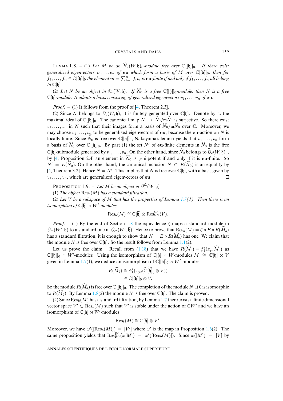LEMMA 1.8. – (1) Let M be an  $\widehat{H}_c(W, \mathfrak{h})_0$ -module free over  $\mathbb{C}[[\mathfrak{h}]]_0$ . If there exist *generalized eigenvectors*  $v_1, \ldots v_n$  *of* **eu** *which form a basis of* M *over*  $\mathbb{C}[[\mathfrak{h}]]_0$ *, then for*  $f_1,\ldots,f_n\in\mathbb{C}[[\mathfrak{h}]]_0$  the element  $m=\sum_{i=1}^nf_iv_i$  is **eu**-finite if and only if  $f_1,\ldots,f_n$  all belong *to*  $\mathbb{C}[\mathfrak{h}].$ 

(2) Let [N](#page-36-5) be an object in  $\mathcal{O}_c(W, \mathfrak{h})$ . If  $\widehat{N}_0$  is a free  $\mathbb{C}[[\mathfrak{h}]]_0$ *-module, then* N is a free  $\mathbb{C}[\mathfrak{h}]$ -module. It admits a basis consisting of generalized eigenvectors  $v_1, \ldots, v_n$  of **eu**.

*Proof.* – (1) It follows from the proof of [4, Theorem 2.3].

(2) Since N belongs to  $\mathcal{O}_c(W, \mathfrak{h})$ , it is finitely generated over  $\mathbb{C}[\mathfrak{h}]$ . Denote by m the maximal ideal of  $\mathbb{C}[[\mathfrak{h}]]_0$ . The canonical map  $N \to \widehat{N}_0/\mathfrak{m} \widehat{N}_0$  is surjective. So there exist  $v_1, \ldots, v_n$  in N such that their images form a basis of  $\widehat{N}_0/\mathfrak{m}\widehat{N}_0$  over  $\mathbb{C}$ . Moreover, we may choose  $v_1, \ldots, v_n$  to be generalized eigenvectors of eu, because the eu-action on N is loc[ally](#page-36-5) finite. Since  $\widehat{N}_0$  is free over  $\mathbb{C}[[b]]_0$ , Nakayama's lemma yields that  $v_1, \ldots, v_n$  form a basis of  $\widehat{N}_0$  over  $\mathbb{C}[[\mathfrak{h}]]_0$ . By part (1) the set N' of eu-finite elements in  $\widehat{N}_0$  is the free  $\mathbb{C}[\mathfrak{h}]$  $\mathbb{C}[\mathfrak{h}]$  $\mathbb{C}[\mathfrak{h}]$ -submodule generated by  $v_1, \ldots, v_n$ . On the other hand, since  $\widehat{N}_0$  belongs to  $\widehat{\mathcal{O}}_c(W, \mathfrak{h})_0$ , by [4, Proposition 2.4] an element in  $\widehat{N}_0$  is h-nilpotent if and only if it is eu-finite. So  $N' = E(\widehat{N}_0)$ . On the other hand, the canonical inclusion  $N \subset E(\widehat{N}_0)$  is an equality by [4, Theorem 3.2]. Hence  $N = N'$ . This implies that N is free over  $\mathbb{C}[\mathfrak{h}]$ , with a basis given by  $v_1, \ldots, v_n$ , which are generalized eigenvectors of eu.  $\Box$ 

**PROPOSITION** 1.9. – Let M be an object in  $\mathcal{O}_c^{\Delta}(W, \mathfrak{h})$ .

(1) The object  $\text{Res}_{b}(M)$  has a standard filtration.

(2) *Let* V *be a subspace of* M *that has the properties of Lemma 1.7(1). Then there is an isomorphism of*  $\mathbb{C}[\overline{\mathfrak{h}}] \rtimes W'$ -modules

$$
\mathrm{Res}_b(M) \cong \mathbb{C}[\overline{\mathfrak{h}}] \otimes \mathrm{Res}_{W'}^W(V).
$$

*Proof.* – (1) By the end of Section 1.8 the equivalence  $\zeta$  ma[ps a](#page-0-0) standard module in  $\mathcal{O}_{c'}(W', \mathfrak{h})$  to a standard one in  $\mathcal{O}_{c'}(W', \overline{\mathfrak{h}})$ . [Hence](#page-11-0) to prove that  $\text{Res}_b(M) = \zeta \circ E \circ R(\widehat{M_b})$ has a standard filtration, it is enough to show that  $N = E \circ R(M_b)$  has one. We claim that the module N is [free](#page-0-0) over  $\mathbb{C}[\mathfrak{h}]$ . So the result follows from Lemma 1.1(2).

Let us prove the claim. Recall from (1.18) that we have  $R(\widehat{M}_b) = \phi_1^*(x_{\text{pr}}\widehat{M}_b)$  as  $\mathbb{C}[[\mathfrak{h}]]_0 \rtimes W'$ -modules. Using the isomorphism of  $\mathbb{C}[\mathfrak{h}] \rtimes W$ -modules  $M \cong \mathbb{C}[\mathfrak{h}] \otimes V$ given in Lemma 1.7(1), we deduce an isomorphism of  $\mathbb{C}[[\mathfrak{h}]]_0 \rtimes W'$ -modules

$$
R(\widehat{M}_b) \cong \phi_1^*(x_{\text{pr}}(\widehat{\mathbb{C}[\mathfrak{h}]}_b \otimes V))
$$
  

$$
\cong \mathbb{C}[[\mathfrak{h}]]_0 \otimes V.
$$

So the module  $R(\widehat{M}_b)$  is free over  $\mathbb{C}[[\mathfrak{h}]]_0$ . The completion of the module N at 0 is isomorphic to  $R(\widehat{M}_b)$ . By Lemma 1.8(2) the module N is free over  $\mathbb{C}[\mathfrak{h}]$ . The claim is proved.

(2) Since  $\text{Res}_{b}(M)$  has a standard filtration, by Lemma 1.7 there exists a finite dimensional vector space  $V' \subset \text{Res}_b(M)$  such that V' is stable under the action of  $\mathbb{C}W'$  an[d we](#page-0-0) have an isomorphism of  $\mathbb{C}[\overline{\mathfrak{h}}] \rtimes W'$ -modules

$$
\mathrm{Res}_b(M) \cong \mathbb{C}[\overline{\mathfrak{h}}] \otimes V'.
$$

Moreover, we have  $\omega'([\text{Res}_b(M)]) = [V']$  where  $\omega'$  is the map in Proposition 1.6(2). The same proposition yields that  $\text{Res}_{W'}^W(\omega[M]) = \omega'([\text{Res}_b(M)])$ . Since  $\omega([M]) = [V]$  by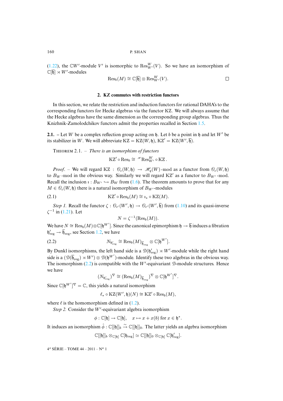<span id="page-14-1"></span>(1.22), the CW'-module V' is isomorphic to  $\text{Res}_{W'}^{W}(V)$ . So we have an isomorphism of  $\mathbb{C}[\overline{\mathfrak{h}}] \rtimes W'$ -modules

$$
\mathrm{Res}_b(M) \cong \mathbb{C}[\overline{\mathfrak{h}}] \otimes \mathrm{Res}_{W'}^W(V). \square
$$

#### **2. KZ commutes with restriction functors**

In this section, we relate the restriction and induction functors for rationa[l DA](#page-6-1)HA's to the corresponding functors for Hecke algebras via the functor KZ. We will always assume that the Hecke algebras have the same dimension as the corresponding group algebras. Thus the Knizhnik-Zamolodchikov functors admit the properties recalled in Section 1.5.

**2.1.** – Let W be a complex reflection group acting on h. Let b be a point in h and let  $W'$  be its stabilizer in W. We will abbreviate  $KZ = KZ(W, \mathfrak{h})$ ,  $KZ' = KZ(W', \overline{\mathfrak{h}})$ .

THEOREM 2.1. - *There is an isomorphism of functors* 

<span id="page-14-0"></span> $\mathrm{KZ}^{\prime}\circ \mathrm{Res}_{b}\cong \mathscr{H}\mathrm{Res}^{W}_{W^{\prime}}\circ \mathrm{KZ}$ .

*Proof.* – We will regard KZ :  $\mathcal{O}_c(W, \mathfrak{h}) \rightarrow \mathcal{H}_a(W)$ -mod as a functor from  $\mathcal{O}_c(W, \mathfrak{h})$ to  $B_W$ -mod in the obvious way. Similarly we will regard KZ' as a functor to  $B_{W'}$ -mod. Recall the inclusion  $\iota : B_{W'} \hookrightarrow B_W$  from (1.6). The theorem amounts to prove that for any  $M \in \mathcal{O}_c(W, \mathfrak{h})$  $M \in \mathcal{O}_c(W, \mathfrak{h})$  $M \in \mathcal{O}_c(W, \mathfrak{h})$  there is a natural isomorphism of  $B_{W'}$ -modules

(2.1) 
$$
KZ' \circ Res_b(M) \cong i_* \circ KZ(M).
$$

*Step 1.* Recall the functor  $\zeta$  :  $\mathcal{O}_{c'}(W', \mathfrak{h}) \to \mathcal{O}_{c'}(W', \overline{\mathfrak{h}})$  from (1.10) and its quasi-inverse  $\zeta^{-1}$  in (1.21). Let

$$
N = \zeta^{-1}(\text{Res}_b(M)).
$$

We have  $N \cong \operatorname{Res}_b(M) \otimes \mathbb{C}[\mathfrak{h}^{W'}]$ . Since the canonical epimorphism  $\mathfrak{h} \to \overline{\mathfrak{h}}$  induces a fibration  $\mathfrak{h}'_{\text{reg}} \to \overline{\mathfrak{h}}_{\text{reg}}$ , see Section 1.2, we have

(2.2) 
$$
N_{\mathfrak{h}'_{\mathrm{reg}}} \cong \mathrm{Res}_b(M)_{\overline{\mathfrak{h}}_{\mathrm{reg}}} \otimes \mathbb{C}[\mathfrak{h}^{W'}].
$$

By Dunkl isomorphisms, the left hand side is a  $\mathcal{D}(\mathfrak{h}'_{reg}) \rtimes W'$ -module while the right hand side is a  $(\mathcal{D}(\overline{\mathfrak{h}}_{\text{reg}}) \rtimes W') \otimes \mathcal{D}(\mathfrak{h}^{W'})$ -module. Identify these two algebras in the obvious way. The isomorphism  $(2.2)$  is compatible with the W'-equivariant  $\mathcal{D}$ -module structures. Hence we have

$$
(N_{\mathfrak{h}'_{\mathrm{reg}}})^\nabla\cong (\mathrm{Res}_b(M)_{\overline{\mathfrak{h}}_{\mathrm{reg}}})^\nabla\otimes \mathbb{C}[\mathfrak{h}^{W'}]^\nabla.
$$

Since  $\mathbb{C}[\mathfrak{h}^{W'}]^{\nabla} = \mathbb{C}$ , this yields a natural i[som](#page-4-1)orphism

$$
\ell_*\circ {\rm KZ}(W',\mathfrak{h})(N)\cong {\rm KZ}'\circ {\rm Res}_b(M),
$$

where  $\ell$  is the homomorphism defined in (1.2).

Step 2. Consider the  $W'$ -equivariant algebra isomorphism

$$
\phi: \mathbb{C}[\mathfrak{h}] \to \mathbb{C}[\mathfrak{h}], \quad x \mapsto x + x(b) \text{ for } x \in \mathfrak{h}^*.
$$

It induces an isomorphism  $\hat{\phi} : \mathbb{C}[[\mathfrak{h}]]_b \stackrel{\sim}{\to} \mathbb{C}[[\mathfrak{h}]]_0$ . The latter yields an algebra isomorphism

$$
\mathbb{C}[[\mathfrak{h}]]_b \otimes_{\mathbb{C}[\mathfrak{h}]} \mathbb{C}[\mathfrak{h}_{\mathrm{reg}}] \simeq \mathbb{C}[[\mathfrak{h}]]_0 \otimes_{\mathbb{C}[\mathfrak{h}]} \mathbb{C}[\mathfrak{h}_{\mathrm{reg}}'].
$$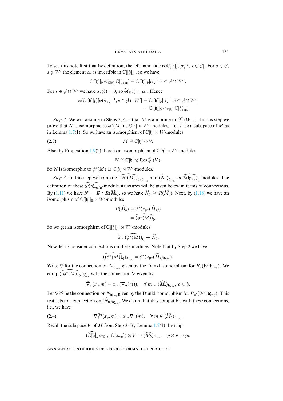To see this note first that by definition, the left hand side is  $\mathbb{C}[[\mathfrak{h}]]_b[\alpha_s^{-1}, s \in \mathcal{A}]$ . For  $s \in \mathcal{A}$ ,  $s \notin W'$  the element  $\alpha_s$  is invertible in  $\mathbb{C}[[\mathfrak{h}]]_b$ , so we have

$$
\mathbb{C}[[\mathfrak{h}]]_b \otimes_{\mathbb{C}[\mathfrak{h}]} \mathbb{C}[\mathfrak{h}_{\mathrm{reg}}] = \mathbb{C}[[\mathfrak{h}]]_b[\alpha_s^{-1}, s \in \mathcal{J} \cap W'].
$$

For  $s \in \mathcal{S} \cap W'$  we have  $\alpha_s(b) = 0$ , so  $\hat{\phi}(\alpha_s) = \alpha_s$ . Hence

$$
\hat{\phi}(\mathbb{C}[[\mathfrak{h}]]_b)[\hat{\phi}(\alpha_s)^{-1}, s \in \mathcal{J} \cap W'] = \mathbb{C}[[\mathfrak{h}]]_0[\alpha_s^{-1}, s \in \mathcal{J} \cap W']
$$
  
=  $\mathbb{C}[[\mathfrak{h}]]_0 \otimes_{\mathbb{C}[\mathfrak{h}]} \mathbb{C}[\mathfrak{h}'_{reg}].$ 

*Step 3.* We will assume in Steps 3, 4, 5 that M is a module in  $\mathcal{O}_c^{\Delta}(W, \mathfrak{h})$ . In this step we prove that N is isomorphic to  $\phi^*(M)$  as  $\mathbb{C}[\mathfrak{h}] \rtimes W'$ -modules. Let V be a subspace of M as in Lemma 1.7(1). So [we](#page-0-0) have an isomorphism of  $\mathbb{C}[\mathfrak{h}] \rtimes W$ -modules

$$
(2.3) \t\t\t M \cong \mathbb{C}[\mathfrak{h}] \otimes V.
$$

Also, by Proposition 1.9(2) there is an isomorphism of  $\mathbb{C}[\mathfrak{h}] \rtimes W'$ -modules

$$
N\cong \mathbb{C}[\mathfrak{h}]\otimes {\rm Res}^W_{W'}(V).
$$

So N is isomorphic to  $\phi^*(M)$  as  $\mathbb{C}[\mathfrak{h}] \rtimes W'$ -modules.

*[Step 4](#page-9-1)*. In this step we compare  $((\phi^*(M))_0)_{\mathfrak{h}'_{reg}}$  and  $(N_0)_{\mathfrak{h}'_{reg}}$  as  $\mathcal{D}(\mathfrak{h}'_{reg})_0$ [-m](#page-11-0)odules. The definition of these  $\mathcal{D}(b'_{\text{reg}})_0$ -module structures will be given below in terms of connections. By (1.11) we have  $N = E \circ R(\widehat{M}_b)$ , so we have  $\widehat{N}_0 \cong R(\widehat{M}_b)$ . Next, by (1.18) we have an isomorphism of  $\mathbb{C}[[\mathfrak{h}]]_0 \rtimes W'$ -modules

$$
R(\widehat{M}_b) = \widehat{\phi}^*(x_{\text{pr}}(\widehat{M}_b))
$$
  
= 
$$
\widehat{(\phi^*(M))}_0.
$$

So we get an isomorphism of  $\mathbb{C}[[\mathfrak{h}]]_0 \rtimes W'$ -modules

$$
\hat{\Psi}: \widehat{(\phi^*(M))}_0 \to \widehat{N}_0.
$$

Now, let us consider connections on these modules. Note that by Step 2 we have

$$
(\widehat{(\phi^*(M))}_0)_{\mathfrak{h}'_{\mathrm{reg}}} = \widehat{\phi}^*(x_{\mathrm{pr}}(\widehat{M}_b)_{\mathfrak{h}_{\mathrm{reg}}}).
$$

Write  $\nabla$  for the connection on  $M_{\mathfrak{h}_{reg}}$  given by the Dunkl isomorphism for  $H_c(W, \mathfrak{h}_{reg})$ . We equip  $(\widetilde{(\phi^*(M))}_0)_{\mathfrak{h}'_{\text{reg}}}$  with the connection  $\tilde{\nabla}$  given by

<span id="page-15-0"></span>
$$
\tilde{\nabla}_a(x_{\text{pr}}m) = x_{\text{pr}}(\nabla_a(m)), \quad \forall \ m \in (\widehat{M}_b)_{\mathfrak{h}_{\text{reg}}}, \ a \in \mathfrak{h}.
$$

Let  $\nabla^{(b)}$  be the connection on  $N_{\mathfrak{h}'_{\text{reg}}}$  given by the Dunkl isomorphism for  $H_{c'}(W', \mathfrak{h}'_{\text{reg}})$ . This restricts to a connection on  $(N_0)_{b_{\text{reg}}'}$ . We claim that  $\Psi$  is compatible with these connections, i.e., we have

(2.4) 
$$
\nabla_a^{(b)}(x_{\text{pr}}m) = x_{\text{pr}} \nabla_a(m), \quad \forall m \in (\widehat{M}_b)_{\mathfrak{h}_{\text{reg}}}.
$$

Recall the subspace V of M from Step 3. By Lemma  $1.7(1)$  the map

$$
(\widehat{\mathbb{C}}[\mathfrak{h}]_b \otimes_{\mathbb{C}[\mathfrak{h}]} \mathbb{C}[\mathfrak{h}_{\mathrm{reg}}]) \otimes V \to (\widehat{M_b})_{\mathfrak{h}_{\mathrm{reg}}}, \quad p \otimes v \mapsto pv
$$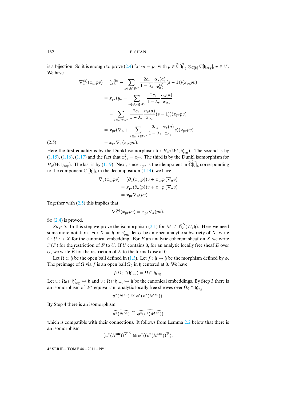is a bijection. So it is enough to prove (2.4) for  $m = pv$  with  $p \in \mathbb{C}[\mathfrak{h}]_b \otimes_{\mathbb{C}[\mathfrak{h}]} \mathbb{C}[\mathfrak{h}_{reg}], v \in V$ . We have

$$
\nabla_a^{(b)}(x_{\text{pr}}pv) = (y_a^{(b)} - \sum_{s \in \phi \cap W'} \frac{2c_s}{1 - \lambda_s} \frac{\alpha_s(a)}{x_{\alpha_s}^{(b)}}(s-1))(x_{\text{pr}}pv)
$$
  

$$
= x_{\text{pr}}(y_a + \sum_{s \in \phi, s \notin W'} \frac{2c_s}{1 - \lambda_s} \frac{\alpha_s(a)}{x_{\alpha_s}}
$$
  

$$
- \sum_{s \in \phi \cap W'} \frac{2c_s}{1 - \lambda_s} \frac{\alpha_s(a)}{x_{\alpha_s}}(s-1))(x_{\text{pr}}pv)
$$
  

$$
= x_{\text{pr}}(\nabla_a + \sum_{s \in \phi, s \notin W'} \frac{2c_s}{1 - \lambda_s} \frac{\alpha_s(a)}{x_{\alpha_s}}s)(x_{\text{pr}}pv)
$$
  
(2.5) 
$$
= x_{\text{pr}} \nabla_a(x_{\text{pr}}pv).
$$

Here the first equality is by the Dunkl isomor[phism](#page-10-2) for  $H_{c'}(W', \mathfrak{h}'_{reg})$ . The second is by  $(1.15)$ ,  $(1.16)$ ,  $(1.17)$  and the fact that  $x_{pr}^2 = x_{pr}$ . The third is by the Dunkl isomorphism for  $H_c(W, \mathfrak{h}_{\text{reg}})$ . The last is by (1.19). Next, since  $x_{\text{pr}}$  is the idempotent in  $\mathbb{C}[\mathfrak{h}]_b$  corresponding to the component  $\mathbb{C}[[\mathfrak{h}]]_b$  in the decomposition (1.14), we have

$$
\nabla_a(x_{\text{pr}}pv) = (\partial_a(x_{\text{pr}}p))v + x_{\text{pr}}p(\nabla_a v)
$$
  
=  $x_{\text{pr}}(\partial_a(p))v + x_{\text{pr}}p(\nabla_a v)$   
=  $x_{\text{pr}}\nabla_a(pv)$ .

To[gethe](#page-15-0)r with  $(2.5)$  this implies that

$$
\nabla_a^{(b)}(x_{\text{pr}}pv) = x_{\text{pr}} \nabla_a(pv).
$$

So (2.4) is proved.

*Step 5.* In this step we prove the isomorphism  $(2.1)$  for  $M \in \mathcal{O}_c^{\Delta}(W, \mathfrak{h})$ . Here we need some more notation. For  $X = \mathfrak{h}$  or  $\mathfrak{h}'_{\text{reg}}$ , let U be an open analytic subvariety of X, write  $i: U \hookrightarrow X$  for the canonical embedding[. Fo](#page-4-2)r F an analytic coherent sheaf on X we write  $i^*(F)$  for the restriction of F to U. If U contains 0, for an analytic locally free sheaf E over U, we write  $\widehat{E}$  for the restriction of E to the formal disc at 0.

Let  $\Omega \subset \mathfrak{h}$  be the open ball defined in (1.3). Let  $f : \mathfrak{h} \to \mathfrak{h}$  be the morphism defined by  $\phi$ . The preimage of  $\Omega$  via f is an open ball  $\Omega_0$  in h centered at 0. We have

$$
f(\Omega_0 \cap \mathfrak{h}'_{\rm reg}) = \Omega \cap \mathfrak{h}_{\rm reg}.
$$

Let  $u : \Omega_0 \cap \mathfrak{h}'_{reg} \hookrightarrow \mathfrak{h}$  and  $v : \Omega \cap \mathfrak{h}_{reg} \hookrightarrow \mathfrak{h}$  be the canonical embeddings. By Step 3 there is an isomorphism of W'-equivariant analytic locally free sheaves over  $\Omega_0 \cap \mathfrak{h}'_{reg}$ 

$$
u^*(N^{\mathrm{an}}) \cong \phi^*(v^*(M^{\mathrm{an}})).
$$

By Step 4 there is an isomorphism

$$
\widehat{u^{\ast}(N^{\rm an})}\stackrel{\sim}{\to}\widehat{\phi^{\ast}(v^{\ast}(M^{\rm an}))}
$$

which is compatible with their connections. It follows from Lemma 2.2 below that there is an isomorphism

$$
(u^*(N^{\mathrm{an}}))^{\nabla^{(b)}} \cong \phi^*((v^*(M^{\mathrm{an}}))^{\nabla}).
$$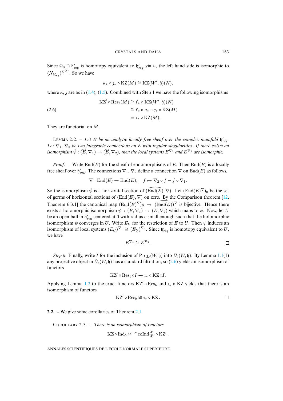Since  $\Omega_0 \cap \mathfrak{h}'_{reg}$  is homotopy equivalent to  $\mathfrak{h}'_{reg}$  via u, the left hand side is isomorphic to  $(N_{\mathfrak{h}'_{\text{reg}}})^{\nabla^{(b)}}$ . So we [have](#page-4-3)

$$
\kappa_* \circ \jmath_* \circ \mathrm{KZ}(M) \cong \mathrm{KZ}(W', \mathfrak{h})(N),
$$

where  $\kappa$ , *f* are as in (1.4), (1.5). Combined with Step 1 we have the following isomorphisms

(2.6)  
\n
$$
KZ' \circ Res_b(M) \cong \ell_* \circ KZ(W', \mathfrak{h})(N)
$$
\n
$$
\cong \ell_* \circ \kappa_* \circ \jmath_* \circ KZ(M)
$$
\n
$$
= \iota_* \circ KZ(M).
$$

They are functorial on M.

LEMMA 2.2. – Let E be an analytic locally free sheaf over the complex manifold  $\mathfrak{h}_{\text{reg}}'$ . *Let*  $\nabla_1$ ,  $\nabla_2$  *be two integrable connections on E with regular singularities. If there exists an isomorphism*  $\hat{\psi}: (\widehat{E}, \nabla_1) \to (\widehat{E}, \nabla_2)$ , then the local systems  $E^{\nabla_1}$  and  $E^{\nabla_2}$  are isomorphic.

*Proof.* – Write  $\text{End}(E)$  for the sheaf of endomorphisms of E. Then  $\text{End}(E)$  is a locally free sheaf over  $\mathfrak{h}'_{reg}$ . The connections  $\nabla_1, \nabla_2$  define a connection  $\nabla$  on  $\text{End}(E)$  as follows,

$$
\nabla: \text{End}(E) \to \text{End}(E), \quad f \mapsto \nabla_2 \circ f - f \circ \nabla_1.
$$

So the isomorphism  $\hat{\psi}$  is a horizontal section of  $(\widehat{\text{End}(E)}, \nabla)$ . Let  $(\text{End}(E)^{\nabla})_0$  be the set of germs of horizontal sections of  $(End(E), \nabla)$  on zero. By the Comparison theorem [12, Theorem 6.3.1] the canonical map  $(\text{End}(E)^\nabla)_0 \to (\text{End}(E))^\nabla$  is bijective. Hence there exists a holomorphic isomorphism  $\psi : (E, \nabla_1) \to (E, \nabla_2)$  which maps to  $\hat{\psi}$ . Now, let U be an open ball in  $\mathfrak{h}'_{\text{reg}}$  centered at 0 with radius  $\varepsilon$  small enough such that the holomorphic isomorphism  $\psi$  converges in U. Write  $E_U$  for the restriction of E to U. Then  $\psi$  induces an isomorphism of local systems  $(E_U)^{\nabla_1} \cong (E_U)^{\nabla_2}$ . Since  $\mathfrak{h}'_{\text{reg}}$  is homotopy equivalent to U, we have

$$
E^{\nabla_1} \cong E^{\nabla_2}.
$$

*Step 6.* Finally, write *I* for the inclusion of  $\text{Proj}_c(W, \mathfrak{h})$  into  $\mathcal{O}_c(W, \mathfrak{h})$ . By Lemma 1.1(1) any projective obj[ect in](#page-0-0)  $\mathcal{O}_c(W, \mathfrak{h})$  has a standard filtration, so (2.6) yields an isomorphism of functors

$$
KZ' \circ \operatorname{Res}_b \circ I \to \iota_* \circ KZ \circ I.
$$

Applying Lemma 1.2 to the exact functors  $KZ' \circ Res_b$  and  $i_* \circ KZ$  yields that there is an isomorphism of functors

$$
KZ' \circ \mathrm{Res}_b \cong \iota_* \circ KZ. \qquad \qquad \Box
$$

**2.2. –** We give some corollaries of Theorem 2.1.

C 2.3. – *There is an isomorphism of functors*

$$
\mathrm{KZ} \circ \mathrm{Ind}_b \cong \, ^\mathscr{H}\mathrm{coInd}_{W'}^W \circ \mathrm{KZ'}\, .
$$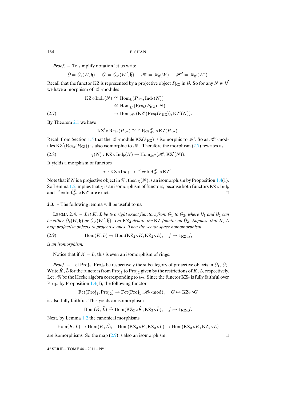*Proof*. – To simplify notation let us write

$$
\Theta = \mathcal{O}_c(W, \mathfrak{h}), \quad \mathcal{O}' = \mathcal{O}_{c'}(W', \overline{\mathfrak{h}}), \quad \mathscr{H} = \mathscr{H}_q(W), \quad \mathscr{H}' = \mathscr{H}_{q'}(W').
$$

Recall that the functor KZ is represented by a projective object  $P_{KZ}$  in  $\emptyset$ . So for any  $N \in \mathcal{O}'$ we have a morphism of  $\mathcal{H}$ -modules

$$
\begin{aligned} \mathrm{KZ} \circ \mathrm{Ind}_{b}(N) &\cong \mathrm{Hom}_{\mathcal{O}}(P_{\mathrm{KZ}}, \mathrm{Ind}_{b}(N)) \\ &\cong \mathrm{Hom}_{\mathcal{O}'}(\mathrm{Res}_{b}(P_{\mathrm{KZ}}), N) \\ (2.7) &\longrightarrow \mathrm{Hom}_{\mathscr{H}'}(\mathrm{KZ}'(\mathrm{Res}_{b}(P_{\mathrm{KZ}})), \mathrm{KZ}'(N)). \end{aligned}
$$

By Theorem 2.1 we [have](#page-6-1)

$$
\mathrm{KZ}' \circ \mathrm{Res}_b(P_{\mathrm{KZ}}) \cong \, ^{\mathscr{H}} \mathrm{Res}^W_{W'} \circ \mathrm{KZ}(P_{\mathrm{KZ}}).
$$

Recall from Section 1.5 that the  $\mathcal{H}$ -module KZ( $P_{KZ}$ ) is isomorphic to  $\mathcal{H}$ . So as  $\mathcal{H}$ -modules KZ'(Res<sub>b</sub>( $P_{\text{KZ}}$ )) is also isomorphic to  $\mathcal{H}$ . Therefore the morphism (2.7) rewrites as

(2.8)  $\chi(N): KZ \circ Ind_b(N) \to Hom_{\mathscr{H}'}(\mathscr{H}, KZ'(N)).$ 

It yields a [mor](#page-0-0)phism of functors

$$
\chi: \mathrm{KZ} \circ \mathrm{Ind}_b \to {}^{\mathscr{H}}\mathrm{coInd}_{W'}^W \circ \mathrm{KZ'}.
$$

Note that if N is a projective object in  $\mathcal{O}',$  then  $\chi(N)$  is an isomorphism by Proposition 1.4(1). So Lemma 1.2 implies that  $\chi$  is an isomorphism of functors, because both functors KZ  $\circ$  Ind<sub>b</sub> and  $\mathcal{H}$  coIndW,  $\circ$  KZ' are exact.  $\Box$ 

# **2.3. –** The following lemma will be useful to us.

<span id="page-18-0"></span>LEMMA 2.4. – Let K, L be two right exact functors from  $\mathcal{O}_1$  to  $\mathcal{O}_2$ , where  $\mathcal{O}_1$  and  $\mathcal{O}_2$  can *be either*  $\mathcal{O}_c(W, \mathfrak{h})$  *or*  $\mathcal{O}_{c'}(W', \overline{\mathfrak{h}})$ *. Let* KZ<sub>2</sub> *denote the* KZ-functor on  $\mathcal{O}_2$ *. Suppose that* K, L *map projective objects to projective ones. Then the vector space homomorphism*

(2.9) 
$$
\text{Hom}(K, L) \to \text{Hom}(KZ_2 \circ K, KZ_2 \circ L), \quad f \mapsto 1_{KZ_2} f,
$$

*is an isomorphism.*

Notice that if  $K = L$ , this is even an isomorphism of rings.

*[Pr](#page-0-0)oof.* – Let Proj<sub>1</sub>, Proj<sub>2</sub> be respectively the subcategory of projective objects in  $\mathcal{O}_1$ ,  $\mathcal{O}_2$ . Write  $\tilde{K}$ ,  $\tilde{L}$  for the functors from  $\text{Proj}_1$  to  $\text{Proj}_2$  given by the restrictions of  $K, L$ , respectively. Let  $\mathcal{H}_2$  be the Hecke algebra corresponding to  $\mathcal{O}_2$ . Since the functor KZ<sub>2</sub> is fully faithful over  $Proj_2$  by Proposition 1.4(1), the following functor

$$
\mathop{\mathrm{Fct}}\nolimits(\mathop{\mathrm{Proj}}\nolimits_1, \mathop{\mathrm{Proj}}\nolimits_2) \rightarrow \mathop{\mathrm{Fct}}\nolimits(\mathop{\mathrm{Proj}}\nolimits_1, \mathscr{H}_2\text{-mod}), \quad G \mapsto \mathrm{KZ}_2 \circ G
$$

is also fully faith[ful.](#page-0-0) This yields an isomorphism

$$
\mathrm{Hom}(\tilde{K},\tilde{L})\stackrel{\sim}{\to}\mathrm{Hom}(\mathrm{KZ}_2\circ\tilde{K},\mathrm{KZ}_2\circ\tilde{L}),\quad f\mapsto 1_{\mathrm{KZ}_2}f.
$$

Next, by Lemma 1.2 the canon[ical](#page-18-0) morphisms

 $\text{Hom}(K, L) \to \text{Hom}(\tilde{K}, \tilde{L}), \quad \text{Hom}(KZ_2 \circ K, KZ_2 \circ L) \to \text{Hom}(KZ_2 \circ \tilde{K}, KZ_2 \circ \tilde{L})$ 

 $\Box$ 

are isomorphisms. So the map  $(2.9)$  is also an isomorphism.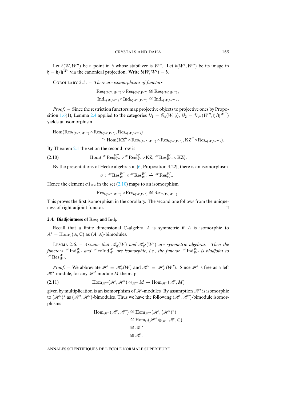Let  $b(W, W'')$  be a point in h whose stabilizer is W''. Let  $b(W', W'')$  be its image in  $\overline{\mathfrak{h}} = \mathfrak{h}/\mathfrak{h}^{W'}$  via the canonical projection. Write  $b(W, W') = b$ .

COROLLARY 2.5. - *There are isomorphisms of functors* 

 $\operatorname{Res}_{b(W',W'')} \circ \operatorname{Res}_{b(W,W')} \cong \operatorname{Res}_{b(W,W'')}$  $\operatorname{Res}_{b(W',W'')} \circ \operatorname{Res}_{b(W,W')} \cong \operatorname{Res}_{b(W,W'')}$  $\operatorname{Res}_{b(W',W'')} \circ \operatorname{Res}_{b(W,W')} \cong \operatorname{Res}_{b(W,W'')}$  $\text{Ind}_{b(W,W')} \circ \text{Ind}_{b(W',W'')} \cong \text{Ind}_{b(W,W'')}$ .

*Proof*. – Since the restriction functors map projective objects to projective ones by Proposition 1.6(1), Lemma 2.4 applied to the categories  $\theta_1 = \theta_c(W, \mathfrak{h})$ ,  $\theta_2 = \theta_{c''}(W'', \mathfrak{h}/\mathfrak{h}^{W''})$ yields an isomorphism

 $\text{Hom}(\text{Res}_{b(W',W'')} \circ \text{Res}_{b(W,W')}, \text{Res}_{b(W,W'')} )$  $\text{Hom}(\text{Res}_{b(W',W'')} \circ \text{Res}_{b(W,W')}, \text{Res}_{b(W,W'')} )$  $\text{Hom}(\text{Res}_{b(W',W'')} \circ \text{Res}_{b(W,W')}, \text{Res}_{b(W,W'')} )$ 

<span id="page-19-0"></span> $\cong \text{Hom}(\text{KZ}'' \circ \text{Res}_{b(W',W'')} \circ \text{Res}_{b(W,W')}, \text{KZ}'' \circ \text{Res}_{b(W,W'')}).$ 

By Theorem 2.1 the set on the second row is

(2.10)  $\text{Hom}(\mathcal{H}\text{Res}_{W''}^{W'} \circ \mathcal{H}\text{Res}_{W'}^{W} \circ \text{KZ}, \mathcal{H}\text{Res}_{W''}^{W} \circ \text{KZ}).$ 

By the presentations of Hecke a[lgebra](#page-19-0)s in [6, Proposition 4.22], there is an isomorphism

$$
\sigma:\;{}^{\mathscr{H}}\mathrm{Res}^{W'}_{W''}\circ {}^{\mathscr{H}}\mathrm{Res}^{W}_{W'}\stackrel{\sim}{\to}{}^{\mathscr{H}}\mathrm{Res}^{W}_{W''}\,.
$$

Hence the element  $\sigma 1_{\text{KZ}}$  in the set (2.10) maps to an isomorphism

 $\operatorname{Res}_{b(W',W'')} \circ \operatorname{Res}_{b(W,W')} \cong \operatorname{Res}_{b(W,W'')}$ .

This proves the first isomorphism in the corollary. The second one follows from the uniqueness of right adjoint functor.  $\Box$ 

#### **2.4. Biadjointness of**  $\text{Res}_b$  **and**  $\text{Ind}_b$

Recall that a finite dimensional  $\mathbb C$ -algebra A is symmetric if A is isomorphic to  $A^* = \text{Hom}_{\mathbb{C}}(A, \mathbb{C})$  as  $(A, A)$ -bimodules.

LEMMA 2.6. – Assume that  $\mathcal{H}_q(W)$  and  $\mathcal{H}_{q'}(W')$  are symmetric algebras. Then the functors  $\mathscr{H}\text{Ind}_{W'}^{W}$  and  $\mathscr{H}\text{coInd}_{W'}^{W}$  are isomorphic, i.e., the functor  $\mathscr{H}\text{Ind}_{W'}^{W}$  is biadjoint to  ${}^{\mathcal{H}}\mathrm{Res}^W_{W'}$ .

*Proof.* – We abbreviate  $\mathcal{H} = \mathcal{H}_q(W)$  and  $\mathcal{H}' = \mathcal{H}_{q'}(W')$ . Since  $\mathcal{H}$  is free as a left  $\mathscr{H}'$ -module, for any  $\mathscr{H}'$ -module M the map

(2.11) 
$$
\text{Hom}_{\mathscr{H}'}(\mathscr{H},\mathscr{H}') \otimes_{\mathscr{H}'} M \to \text{Hom}_{\mathscr{H}'}(\mathscr{H},M)
$$

given by multiplication is an isomorphism of  $\mathcal H$ -modules. By assumption  $\mathcal H'$  is isomorphic to  $(\mathcal{H}')^*$  as  $(\mathcal{H}', \mathcal{H}')$ -bimodules. Thus we have the following  $(\mathcal{H}, \mathcal{H}')$ -bimodule isomorphisms

$$
\begin{aligned} \text{Hom}_{\mathscr{H}'}(\mathscr{H}, \mathscr{H}') &\cong \text{Hom}_{\mathscr{H}'}(\mathscr{H}, (\mathscr{H}')^*) \\ &\cong \text{Hom}_{\mathbb{C}}(\mathscr{H}' \otimes_{\mathscr{H}'} \mathscr{H}, \mathbb{C}) \\ &\cong \mathscr{H}^* \\ &\cong \mathscr{H}. \end{aligned}
$$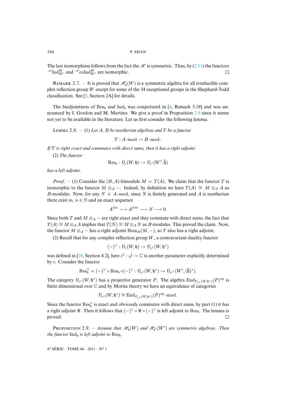The last isomorphism follows from the fact the  $\mathcal H$  is symmetric. Thus, by (2.11) the functors  $\mathscr{H}\mathrm{Ind}_{W'}^W$  and  $\mathscr{H}\mathrm{coInd}_{W'}^W$  are isomorphic.  $\Box$ 

REMARK 2.7. – It is proved that  $\mathcal{H}_q(W)$  is a symmetric algebra for all irreducible complex reflection group W except for some of the 34 exceptiona[l g](#page-36-5)roups in the Shephard-Todd classification. See [5, Section 2A] for details.

The biadjointness of  $\text{Res}_b$  and  $\text{Ind}_b$  was conjectured in [4, Remark 3.18] and was announced by I. Gordon and M. Martino. We give a proof in Proposition 2.9 since it seems not yet to be available in the literature. Let us first consider the following lemma.

L 2.8. – (1) *Let* A*,* B *be noetherian algebras and* T *be a functor*

 $T : A$ -mod  $\rightarrow B$ -mod.

*If* T *is right exact and commutes with direct sums, then it has a right adjoint.*

(2) *The functor*

$$
{\rm Res}_b: \mathcal{O}_c(W, \mathfrak{h}) \to \mathcal{O}_{c'}(W', \overline{\mathfrak{h}})
$$

*has a left adjoint.*

*Proof.* – (1) Consider the  $(B, A)$ -bimodule  $M = T(A)$ . We claim that the functor T is isomorphic to the functor  $M \otimes_A -$ . Indeed, by definition we have  $T(A) \cong M \otimes_A A$  as B-modules. Now, for any  $N \in A$ -mod, since N is finitely generated and A is noetherian there exist  $m, n \in \mathbb{N}$  and an exact sequence

$$
A^{\oplus n}\longrightarrow A^{\oplus m}\longrightarrow N\longrightarrow 0.
$$

Since both T and  $M \otimes_A -$  are right exact and they commute with direct sums, the fact that  $T(A) \cong M \otimes_A A$  implies that  $T(N) \cong M \otimes_A N$  as B-modules. This proved the claim. Now, the functor  $M \otimes_A -$  has a right adjoint  $\text{Hom}_B(M, -)$ , so T also has a right adjoint.

(2) Recall th[at f](#page-36-4)or any complex reflection group  $W$ , a contravariant duality functor

$$
(-)^{\vee}:\mathcal{O}_{c}(W,\mathfrak{h})\rightarrow \mathcal{O}_{c^{\dagger}}(W,\mathfrak{h}^{*})
$$

was defined in [10, Section 4.2], here  $c^{\dagger}$  :  $\mathcal{J} \to \mathbb{C}$  is another parameter explicitly determined by c. Consider the functor

$$
\mathrm{Res}^{\vee}_{b}=(-)^{\vee} \circ \mathrm{Res}_{b} \circ (-)^{\vee} : \mathcal{O}_{c^{\dagger}}(W, \mathfrak{h}^*) \to \mathcal{O}_{c'^{\dagger}}(W', (\overline{\mathfrak{h}})^*).
$$

The category  $\mathcal{O}_{c^{\dagger}}(W, \mathfrak{h}^*)$  has a projective generator P. The algebra  $\text{End}_{\mathcal{O}_{c^{\dagger}}(W, \mathfrak{h}^*)}(P)^\text{op}$  is finite dimensional over C and by Morita theory we have an equivalence of categories

$$
\mathcal{O}_{c^{\dagger}}(W, \mathfrak{h}^*) \cong \text{End}_{\mathcal{O}_{c^{\dagger}}(W, \mathfrak{h}^*)}(P)^{\text{op}} \text{-mod}.
$$

Since the functor  $\text{Res}_{b}^{\vee}$  is exact and obviously commutes with direct sums, by part (1) it has a right adjoint  $\Psi$ . Then it follows that  $(-)^\vee \circ \Psi \circ (-)^\vee$  is left adjoint to  $\text{Res}_b$ . The lemma is proved.  $\Box$ 

**PROPOSITION** 2.9. – Assume that  $\mathcal{H}_q(W)$  and  $\mathcal{H}_{q'}(W')$  are symmetric algebras. Then *the functor*  $\text{Ind}_b$  *is left adjoint to*  $\text{Res}_b$ *.*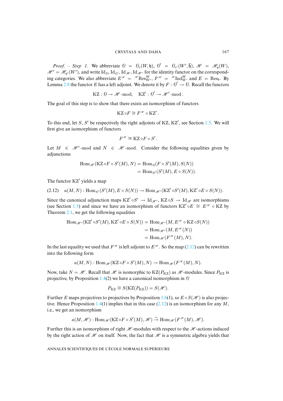*Proof.* – *Step 1*. We abbreviate  $\Theta = \Theta_c(W, \mathfrak{h}), \Theta' = \Theta_{c'}(W', \overline{\mathfrak{h}}), \mathcal{H} = \mathcal{H}_q(W)$ ,  $\mathcal{H}^{\prime} = \mathcal{H}_{q'}(W^{\prime})$ , and write  $\mathrm{Id}_{\theta}$ ,  $\mathrm{Id}_{\theta'}$ ,  $\mathrm{Id}_{\mathcal{H}}$ ,  $\mathrm{Id}_{\mathcal{H}^{\prime}}$  for the identity functor on the corresponding categories. We also abbreviate  $E^{H} = H^{H} \text{Res}_{W}^{W}$ ,  $F^{H} = H^{H} \text{Ind}_{W}^{W}$  and  $E = \text{Res}_{b}$ . By Lemma 2.8 the functor E has a left adjoint. We denote it by  $F: \mathcal{O}' \to \mathcal{O}$ . Recall the functors

$$
KZ:\, \text{$\theta \to \mathscr{H}$-mod}, \quad KZ':\, \text{$\theta' \to \mathscr{H}'$-mod} \,.
$$

The goal of this step is to show that there exists an isomorphism of functors

$$
\mathsf{KZ}\circ F\cong F^{\mathscr{H}}\circ\mathsf{KZ}'\,.
$$

To this end, let  $S$ ,  $S'$  be respectively the right adjoints of KZ, KZ', see Section 1.5. We will first give an isomorphism of functors

$$
F^{\mathscr{H}} \cong \mathrm{KZ} \circ F \circ S'.
$$

Let  $M \in \mathcal{H}$  -mod and  $N \in \mathcal{H}$  -mod. Consider the following equalities given by adjunctions

<span id="page-21-0"></span>
$$
\text{Hom}_{\mathscr{H}}(\text{KZ} \circ F \circ S'(M), N) = \text{Hom}_{\mathcal{O}}(F \circ S'(M), S(N))
$$
  
= 
$$
\text{Hom}_{\mathcal{O}'}(S'(M), E \circ S(N)).
$$

The functor KZ' yields a map

$$
(2.12) \quad a(M,N): \text{Hom}_{\mathscr{O}'}(S'(M), E \circ S(N)) \to \text{Hom}_{\mathscr{H}'}(KZ' \circ S'(M), KZ' \circ E \circ S(N)).
$$

Since the canonical adjunction maps  $KZ' \circ S' \to \text{Id}_{\mathcal{H}}$ ,  $KZ \circ S \to \text{Id}_{\mathcal{H}}$  are isomorphisms (see Section 1.5) and since we have an isomorphism of functors KZ'  $\circ E \cong E^{H} \circ KZ$  by Theorem 2.1, we get the following equalities

$$
\begin{aligned} \text{Hom}_{\mathscr{H}'}(\text{KZ}' \circ S'(M), \text{KZ}' \circ E \circ S(N)) &= \text{Hom}_{\mathscr{H}'}(M, E^{\mathscr{H}} \circ \text{KZ} \circ S(N)) \\ &= \text{Hom}_{\mathscr{H}'}(M, E^{\mathscr{H}}(N)) \\ &= \text{Hom}_{\mathscr{H}}(F^{\mathscr{H}}(M), N). \end{aligned}
$$

In the last equality we used that  $F^{\mathcal{H}}$  is left adjoint to  $E^{\mathcal{H}}$ . So the map (2.12) can be rewritten into the following form

$$
a(M,N): \operatorname{Hom}_{\mathscr{H}}(\operatorname{KZ} \circ F \circ S'(M), N) \to \operatorname{Hom}_{\mathscr{H}}(F^{\mathscr{H}}(M), N).
$$

Now, take  $N = H$ . Recall that H is isomorphic to  $KZ(P_{KZ})$  as H -modules. Since  $P_{KZ}$  is projective, by Proposition 1.4(2) we have a canonical iso[morp](#page-0-0)hism in  $\Theta$ 

$$
P_{\text{KZ}} \cong S(\text{KZ}(P_{\text{KZ}})) = S(\mathcal{H}).
$$

Further E maps projectives to projectives by Proposition 1.6(1), so  $E \circ S(\mathcal{H})$  is also projective. Hence Proposition 1.4(1) implies that in this case (2.12) is an isomorphism for any  $M$ , i.e., we get an isomorphism

$$
a(M,{\mathscr{H}}): \operatorname{Hom}_{{\mathscr{H}}}(\operatorname{KZ} \circ F \circ S'(M),{\mathscr{H}}) \stackrel{\sim}{\to} \operatorname{Hom}_{{\mathscr{H}}}({F}^{{\mathscr{H}}}(M),{\mathscr{H}}).
$$

Further this is an isomorphism of right  $\mathcal{H}$ -modules with respect to the  $\mathcal{H}$ -actions induced by the right action of  $\mathcal H$  on itself. Now, the fact that  $\mathcal H$  is a symmetric algebra yields that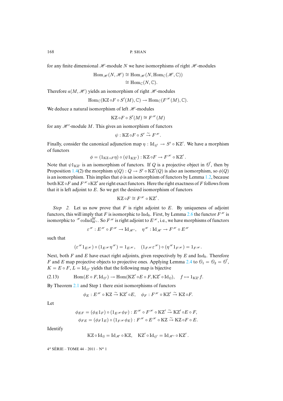for any finite dimensional  $\mathcal{H}$ -module N we have isomorphisms of right  $\mathcal{H}$ -modules

$$
\operatorname{Hom}_{\mathscr{H}}(N, \mathscr{H}) \cong \operatorname{Hom}_{\mathscr{H}}(N, \operatorname{Hom}_{\mathbb{C}}(\mathscr{H}, \mathbb{C}))
$$

$$
\cong \operatorname{Hom}_{\mathbb{C}}(N, \mathbb{C}).
$$

Therefore  $a(M, \mathcal{H})$  yields an isomorphism of right  $\mathcal{H}$ -modules

$$
\mathrm{Hom}_{\mathbb{C}}(\mathrm{KZ} \circ F \circ S'(M), \mathbb{C}) \to \mathrm{Hom}_{\mathbb{C}}(F^{\mathscr{H}}(M), \mathbb{C}).
$$

We deduce a natural isomorphism of left  $H$ -modules

$$
\mathsf{KZ} \circ F \circ S'(M) \cong F^{\mathscr{H}}(M)
$$

for any  $\mathcal{H}^1$ -module M. This gives an isomorphism of functors

$$
\psi: \mathrm{KZ} \circ F \circ S' \overset{\sim}{\to} F^{\mathscr{H}}.
$$

Finally, consider the canonical adjunction map  $\eta$  : Id<sub> $\theta'$ </sub>  $\rightarrow$  S'  $\circ$  KZ'. We have a morphism of functors

$$
\phi = (1_{\mathrm{KZ} \circ F} \eta) \circ (\psi 1_{\mathrm{KZ'}}) : \mathrm{KZ} \circ F \to F^{\mathscr{H}} \circ \mathrm{KZ'}.
$$

Note that  $\psi 1_{KZ}$  is an isomorphism of functors. If Q is a projective object in  $\mathcal{O}'$ , then by Proposition 1.4(2) the morphism  $\eta(Q) : Q \to S' \circ KZ'(Q)$  is also an isomorphism, so  $\phi(Q)$ is an isomorphism. This implies that  $\phi$  is an isomorphism of functors by Lemma 1.2, because both KZ  $\circ$ F and  $F^{\mathcal{H}}\circ$ KZ' are right exact functors. Here the right exactness of F follows from that it is left adjoint to  $E$ . So we get the desired isomorphism of functors

$$
KZ \circ F \cong F^{\mathscr{H}} \circ KZ'.
$$

*Step 2.* Let us now prove that  $F$  is right adjoint to  $E$ . By uniqueness of adjoint functors, this will imply that F is isomorphic to Ind<sub>b</sub>. First, by Lemma 2.6 the functor  $F^{\mathscr{H}}$  is isomorphic to  $\mathcal{H}\mathrm{coInd}_{W'}^W$ . So  $F^\mathcal{H}$  is right adjoint to  $E^\mathcal{H}$ , i.e., we have morphisms of functors

$$
\varepsilon^{\mathscr{H}}: E^{\mathscr{H}} \circ F^{\mathscr{H}} \to \mathrm{Id}_{\mathscr{H}^{\prime}}, \quad \eta^{\mathscr{H}}: \mathrm{Id}_{\mathscr{H}} \to F^{\mathscr{H}} \circ E^{\mathscr{H}}
$$

such that

<span id="page-22-0"></span>
$$
(\varepsilon^{\mathscr{H}} 1_{E^{\mathscr{H}}}) \circ (1_{E^{\mathscr{H}}}\eta^{\mathscr{H}}) = 1_{E^{\mathscr{H}}}, \quad (1_{F^{\mathscr{H}}}\varepsilon^{\mathscr{H}}) \circ (\eta^{\mathscr{H}} 1_{F^{\mathscr{H}}}) = 1_{F^{\mathscr{H}}}.
$$

Next, both F and E have exact right adjoints, given respectively by E and Ind<sub>b</sub>. Therefore F and E map projective objects to projective ones. Applying Lemma 2.4 to  $\theta_1 = \theta_2 = \theta'$ ,  $K = E \circ F$  $K = E \circ F$  $K = E \circ F$ ,  $L = \text{Id}_{\theta'}$  yields that the following map is bijective

(2.13) 
$$
\text{Hom}(E \circ F, \text{Id}_{\mathcal{O}}) \to \text{Hom}(\text{KZ}' \circ E \circ F, \text{KZ}' \circ \text{Id}_{\mathcal{O}}), \quad f \mapsto 1_{\text{KZ}'}f.
$$

By Theorem 2.1 and Step 1 there exist isomorphisms of functors

$$
\phi_E: E^{\mathscr{H}} \circ \mathrm{KZ} \xrightarrow{\sim} \mathrm{KZ}' \circ E, \quad \phi_F: F^{\mathscr{H}} \circ \mathrm{KZ}' \xrightarrow{\sim} \mathrm{KZ} \circ F.
$$

Let

$$
\phi_{EF} = (\phi_E 1_F) \circ (1_{E^{H}} \phi_F) : E^{H} \circ F^{H} \circ KZ' \xrightarrow{\sim} KZ' \circ E \circ F,
$$
  

$$
\phi_{FE} = (\phi_F 1_E) \circ (1_{F^{H}} \phi_E) : F^{H} \circ E^{H} \circ KZ \xrightarrow{\sim} KZ \circ F \circ E.
$$

Identify

$$
\mathrm{KZ}\circ\mathrm{Id}_{\mathop{\ell\!\ell}}=\mathrm{Id}_{\mathscr{H}}\circ\mathrm{KZ},\quad \mathrm{KZ}'\circ\mathrm{Id}_{\mathop{\ell\!\ell'}}=\mathrm{Id}_{\mathscr{H}'}\circ\mathrm{KZ}'\,.
$$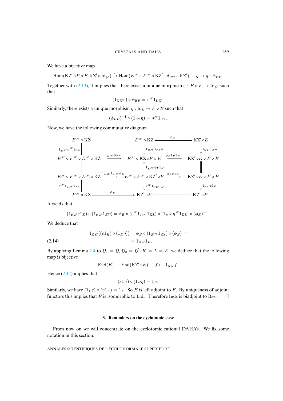We have a bije[ctive m](#page-22-0)ap

 $\text{Hom}(\text{KZ}' \circ E \circ F, \text{KZ}' \circ \text{Id}_{\theta'}) \xrightarrow{\sim} \text{Hom}(E^{\mathcal{H}} \circ F^{\mathcal{H}} \circ \text{KZ}', \text{Id}_{\mathcal{H}'} \circ \text{KZ}'), \quad g \mapsto g \circ \phi_{EF}.$ 

Together with (2.13), it implies that there exists a unique morphism  $\varepsilon : E \circ F \to \text{Id}_{\theta'}$  such that

$$
(1_{\mathrm{KZ}'}\varepsilon)\circ\phi_{EF}=\varepsilon^{\mathscr{H}}1_{\mathrm{KZ}'}.
$$

Similarly, there exists a unique morphism  $\eta : \text{Id}_{\theta} \to F \circ E$  such that

$$
(\phi_{FE})^{-1} \circ (1_{\text{KZ}} \eta) = \eta^{\mathcal{H}} 1_{\text{KZ}}.
$$

Now, we have the following commutative diagram

$$
E^{\mathcal{H}} \circ KZ \longrightarrow E^{\mathcal{H}} \circ KZ
$$
\n
$$
L_{E^{\mathcal{H}}}\eta^{\mathcal{H}}1_{KZ} \downarrow \qquad \qquad E^{\mathcal{H}} \circ F^{\mathcal{H}} \circ E \longrightarrow KZ' \circ E
$$
\n
$$
E^{\mathcal{H}} \circ F^{\mathcal{H}} \circ E^{\mathcal{H}} \circ KZ \xrightarrow{1_{E^{\mathcal{H}}}\emptyset_{E^{\mathcal{H}}}} E^{\mathcal{H}} \circ KZ \circ F \circ E \xrightarrow{\phi_{E1_{F1_{E}}}} KZ' \circ E \circ F \circ E
$$
\n
$$
E^{\mathcal{H}} \circ F^{\mathcal{H}} \circ E^{\mathcal{H}} \circ KZ \xrightarrow{1_{E^{\mathcal{H}}}\emptyset_{E^{\mathcal{H}}}} E^{\mathcal{H}} \circ KZ' \circ F \circ E \xrightarrow{\phi_{E1_{F1_{E}}}} KZ' \circ E \circ F \circ E
$$
\n
$$
\downarrow 1_{E^{\mathcal{H}}}\emptyset_{E^{\mathcal{H}}} \circ F^{\mathcal{H}} \circ KZ \xrightarrow{\phi_{E}} E^{\mathcal{H}} \circ F^{\mathcal{H}} \circ KZ' \circ E \xrightarrow{\phi_{E1_{E}}} KZ' \circ E \circ F \circ E
$$
\n
$$
\downarrow 1_{KZ'} \varepsilon 1_{E}
$$
\n
$$
E^{\mathcal{H}} \circ KZ \longrightarrow KZ' \circ E \longrightarrow KZ' \circ E \longrightarrow KZ' \circ E.
$$

It yields that

<span id="page-23-0"></span>
$$
(1_{\mathrm{KZ'}}\varepsilon 1_E) \circ (1_{\mathrm{KZ'}}1_E \eta) = \phi_E \circ (\varepsilon^{H} 1_{E^{\mathscr{H}}} 1_{\mathrm{KZ}}) \circ (1_{E^{\mathscr{H}}} \eta^{\mathscr{H}} 1_{\mathrm{KZ}}) \circ (\phi_E)^{-1}.
$$

We deduce that

$$
1_{\text{KZ}'}((\varepsilon 1_E) \circ (1_E \eta)) = \phi_E \circ (1_E \mathcal{H} 1_{\text{KZ}}) \circ (\phi_E)^{-1}
$$

$$
= 1_{\text{KZ}'} 1_E.
$$

By applying Lemma 2.4 to  $\mathcal{O}_1 = \mathcal{O}, \mathcal{O}_2 = \mathcal{O}', K = L = E$ , we deduce that the following map is [biject](#page-23-0)ive

$$
End(E) \to End(KZ' \circ E), \quad f \mapsto 1_{KZ'}f.
$$

Hence (2.14) implies that

$$
(\varepsilon 1_E) \circ (1_E \eta) = 1_E.
$$

Similarly, we have  $(1_F \varepsilon) \circ (\eta 1_F) = 1_F$ . So E is left adjoint to F. By uniqueness of adjoint functors this implies that F is isomorphic to  $\text{Ind}_b$ . Therefore  $\text{Ind}_b$  is biadjoint to Res<sub>b</sub>.  $\Box$ 

#### **3. Reminders on the cyclotomic case**

From now on we will concentrate on the cyclotomic rational DAHA's. We fix some notation in this section.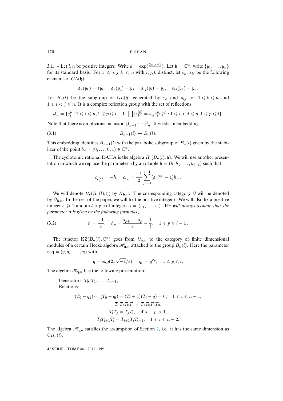<span id="page-24-0"></span>**3.1.** – Let l, n be positive integers. Write  $\varepsilon = \exp(\frac{2\pi\sqrt{-1}}{l})$ . Let  $\mathfrak{h} = \mathbb{C}^n$ , write  $\{y_1, \ldots, y_n\}$ for its standard basis. For  $1 \leq i, j, k \leq n$  with  $i, j, k$  distinct, let  $\varepsilon_k$ ,  $s_{ij}$  be the following elements of  $GL(\mathfrak{h})$ :

$$
\varepsilon_k(y_k)=\varepsilon y_k,\quad \varepsilon_k(y_j)=y_j,\quad s_{ij}(y_i)=y_j,\quad s_{ij}(y_k)=y_k.
$$

Let  $B_n(l)$  be the subgroup of  $GL(\mathfrak{h})$  generated by  $\varepsilon_k$  and  $s_{ij}$  for  $1 \leq k \leq n$  and  $1 \leq i < j \leq n$ . It is a complex reflection group with the set of reflections

$$
\mathcal{J}_n = \{\varepsilon_i^p : 1 \leqslant i \leqslant n, 1 \leqslant p \leqslant l-1\} \bigsqcup \{s_{ij}^{(p)} = s_{ij}\varepsilon_i^p \varepsilon_j^{-p} : 1 \leqslant i < j \leqslant n, 1 \leqslant p \leqslant l\}.
$$

Note that there is an obvious inclusion  $\mathcal{A}_{n-1} \hookrightarrow \mathcal{A}_n$ . It yields an embedding

$$
(3.1) \t\t B_{n-1}(l) \hookrightarrow B_n(l).
$$

This embedding identifies  $B_{n-1}(l)$  with the parabolic subgroup of  $B_n(l)$  given by the stabilizer of the point  $b_n = (0, \ldots, 0, 1) \in \mathbb{C}^n$ .

The cyclotomic rational DAHA is the algebra  $H_c(B_n(l), \mathfrak{h})$ . We will use another presentation in which we replace the parameter c by an l-tuple  $\mathbf{h} = (h, h_1, \dots, h_{l-1})$  such that

$$
c_{s_{ij}^{(p)}} = -h, \quad c_{\varepsilon_p} = \frac{-1}{2} \sum_{p'=1}^{l-1} (\varepsilon^{-pp'} - 1) h_{p'}.
$$

We will denote  $H_c(B_n(l), \mathfrak{h})$  by  $H_{h,n}$ . The corresponding category  $\Theta$  will be denoted by  $\mathcal{O}_{\mathbf{h},n}$ . In the rest of the paper, we will fix the positive integer l. We will also fix a positive integer  $e \geq 2$  and an *l*-tuple of integers  $\mathbf{s} = (s_1, \ldots, s_l)$ . We will always assume that the *parameter* h *is given by the following formulas ,*

(3.2) 
$$
h = \frac{-1}{e}, \quad h_p = \frac{s_{p+1} - s_p}{e} - \frac{1}{l}, \quad 1 \leq p \leq l - 1.
$$

The functor  $KZ(B_n(l), \mathbb{C}^n)$  goes from  $\mathcal{O}_{h,n}$  to the category of finite dimensional modules of a certain Hecke algebra  $\mathcal{H}_{q,n}$  attached to the group  $B_n(l)$ . Here the parameter is  $\mathbf{q} = (q, q_1, \ldots, q_l)$  with

$$
q = \exp(2\pi\sqrt{-1}/e), \quad q_p = q^{s_p}, \quad 1 \leq p \leq l.
$$

The algebra  $\mathcal{H}_{q,n}$  has the following presentation:

 $\overline{\mathbf{C}}$  – Generators:  $T_0, T_1, \ldots, T_{n-1}$ ,

**–** Relations:

$$
(T_0 - q_1) \cdots (T_0 - q_l) = (T_i + 1)(T_i - q) = 0, \quad 1 \le i \le n - 1,
$$
  
\n
$$
T_0 T_1 T_0 T_1 = T_1 T_0 T_1 T_0,
$$
  
\n
$$
T_i T_j = T_j T_i, \quad \text{if } |i - j| > 1,
$$
  
\n
$$
T_i T_{i+1} T_i = T_{i+1} T_i T_{i+1}, \quad 1 \le i \le n - 2.
$$

The algebra  $\mathcal{H}_{q,n}$  satisfies the assumption of Section 2, i.e., it has the same dimension as  $\mathbb{C}B_n(l)$ .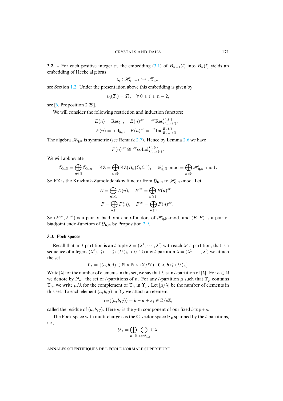**3.2.** – For [each](#page-3-0) positive integer n, the embedding (3.1) of  $B_{n-1}(l)$  into  $B_n(l)$  yields an embedding of Hecke algebras

$$
\imath_{\mathbf{q}}:\mathscr{H}_{\mathbf{q},n-1}\hookrightarrow\mathscr{H}_{\mathbf{q},n},
$$

see [Se](#page-36-3)ction 1.2. Under the presentation above this embedding is given by

$$
i_{\mathbf{q}}(T_i) = T_i, \quad \forall \ 0 \leqslant i \leqslant n-2,
$$

see [6, Proposition 2.29].

We will consider the following restriction and induction functors:

$$
E(n) = \text{Res}_{b_n}, \quad E(n)^{\mathcal{H}} = \mathcal{H} \text{Res}_{B_{n-1}(l)}^{B_n(l)},
$$

$$
F(n) = \text{Ind}_{b_n}, \quad F(n)^{\mathcal{H}} = \mathcal{H} \text{Ind}_{B_{n-1}(l)}^{B_n(l)}.
$$

The algebra  $\mathcal{H}_{q,n}$  is symmetric (see Remark 2.7). Hence by Lemma 2.6 we have

$$
F(n)^{\mathscr{H}} \cong \mathscr{H}_{{\rm coInd}_{B_{n-1}(l)}^{B_n(l)}}.
$$

We will abbreviate

$$
\mathcal{O}_{\mathbf{h},\mathbb{N}}=\bigoplus_{n\in\mathbb{N}}\mathcal{O}_{\mathbf{h},n},\quad \mathrm{KZ}=\bigoplus_{n\in\mathbb{N}}\mathrm{KZ}(B_n(l),\mathbb{C}^n),\quad \mathscr{H}_{\mathbf{q},\mathbb{N}}\operatorname{-mod}=\bigoplus_{n\in\mathbb{N}}\mathscr{H}_{\mathbf{q},n}\operatorname{-mod}.
$$

So KZ is the Knizhnik-Zamolodchikov functor from  $\mathcal{O}_{h,N}$  to  $\mathcal{H}_{q,N}$ -mod. Let

$$
E = \bigoplus_{n \geq 1} E(n), \quad E^{H} = \bigoplus_{n \geq 1} E(n)^{H},
$$
  

$$
F = \bigoplus_{n \geq 1} F(n), \quad F^{H} = \bigoplus_{n \geq 1} F(n)^{H}.
$$

So  $(E^{\mathcal{H}}, F^{\mathcal{H}})$  is a pair of biadjoint endo-functors of  $\mathcal{H}_{q,N}$ -mod, and  $(E, F)$  is a pair of biadjoint endo-functors of  $\mathcal{O}_{h,N}$  by Proposition 2.9.

# **3.3. Fock spaces**

Recall that an *l*-partition is an *l*-tuple  $\lambda = (\lambda^1, \dots, \lambda^l)$  with each  $\lambda^j$  a partition, that is a sequence of integers  $(\lambda^j)_1 \geq \cdots \geq (\lambda^j)_k > 0$ . To any *l*-partition  $\lambda = (\lambda^1, \dots, \lambda^l)$  we attach the set

$$
\Upsilon_{\lambda} = \{ (a, b, j) \in \mathbb{N} \times \mathbb{N} \times (\mathbb{Z}/l\mathbb{Z}) : 0 < b \leqslant (\lambda^{j})_{a} \}.
$$

Write  $|\lambda|$  for the number of elements in this set, we say that  $\lambda$  is an *l*-partition of  $|\lambda|$ . For  $n \in \mathbb{N}$ we denote by  $\mathcal{P}_{n,l}$  the set of *l*-partitions of *n*. For any *l*-partition  $\mu$  such that  $\Upsilon_{\mu}$  contains  $\Upsilon_{\lambda}$ , we write  $\mu/\lambda$  for the complement of  $\Upsilon_{\lambda}$  in  $\Upsilon_{\mu}$ . Let  $|\mu/\lambda|$  be the number of elements in this set. To each element  $(a, b, j)$  in  $\Upsilon_{\lambda}$  we attach an element

$$
res((a, b, j)) = b - a + s_j \in \mathbb{Z}/e\mathbb{Z},
$$

called the residue of  $(a, b, j)$ . Here  $s_j$  is the j-th component of our fixed l-tuple s.

The Fock space with multi-charge s is the  $\mathbb{C}$ -vector space  $\mathcal{F}_s$  spanned by the *l*-partitions, i.e.,

$$
\mathcal{F}_{\mathbf{s}} = \bigoplus_{n \in \mathbb{N}} \bigoplus_{\lambda \in \mathscr{P}_{n,l}} \mathbb{C} \lambda.
$$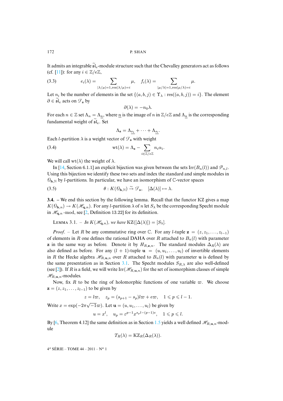<span id="page-26-1"></span>It admits an integrable  $\tilde{\mathfrak{sl}}_e$ -module structure such that the Chevalley generators act as follows (cf. [11]): for any  $i \in \mathbb{Z}/e\mathbb{Z}$ ,

(3.3) 
$$
e_i(\lambda) = \sum_{|\lambda/\mu|=1, \text{res}(\lambda/\mu)=i} \mu, \quad f_i(\lambda) = \sum_{|\mu/\lambda|=1, \text{res}(\mu/\lambda)=i} \mu.
$$

Let  $n_i$  be the number of elements in the set  $\{(a, b, j) \in \Upsilon \}$ .  $res((a, b, j)) = i$ . The element  $\partial \in \mathfrak{sl}_e$  acts on  $\mathcal{F}_s$  by

$$
\partial(\lambda) = -n_0 \lambda.
$$

For each  $n \in \mathbb{Z}$  set  $\Lambda_n = \Lambda_n$ , where  $\underline{n}$  is the image of n in  $\mathbb{Z}/e\mathbb{Z}$  and  $\Lambda_n$  is the corresponding fundamental weight of  $sl_e$ . Set

<span id="page-26-2"></span><span id="page-26-0"></span>
$$
\Lambda_{\mathbf{s}} = \Lambda_{s_1} + \cdots + \Lambda_{s_l}.
$$

Each *l*-partition  $\lambda$  is a weight vector of  $\mathcal{F}_s$  with weight

(3.4) 
$$
\text{wt}(\lambda) = \Lambda_{\mathbf{s}} - \sum_{i \in \mathbb{Z}/e\mathbb{Z}} n_i \alpha_i.
$$

We will call wt( $\lambda$ ) the weight of  $\lambda$ .

In [14, Section 6.1.1] an explicit bijection was given between the sets Irr( $B_n(l)$ ) and  $\mathcal{P}_{n,l}$ . Using this bijection we identify these two sets and index the standard and simple modules in  $\mathcal{O}_{h,N}$  by *l*-partitions. In particular, we have an isomorphism of C-vector spaces

(3.5) 
$$
\theta: K(\mathcal{O}_{\mathbf{h},\mathbb{N}}) \stackrel{\sim}{\to} \mathcal{F}_{\mathbf{s}}, \quad [\Delta(\lambda)] \mapsto \lambda.
$$

**3.4. –** We end this section by the following lemma. Recall that the functor KZ gives a map  $K(\mathcal{O}_{\mathbf{h},n}) \to K(\mathcal{H}_{\mathbf{q},n})$ . For any *l*-partition  $\lambda$  of *n* let  $S_\lambda$  be the corresponding Specht module in  $\mathcal{H}_{q,n}$  -mod, see [2, Definition 13.22] for its definition.

LEMMA 3.1. – In 
$$
K(\mathcal{H}_{q,n})
$$
, we have  $KZ([\Delta(\lambda)]) = [S_{\lambda}]$ .

*Proof.* – Let R be any commutative ring over C. For any l-tuple  $z = (z, z_1, \ldots, z_{l-1})$ of elements in R one defines the rational DAHA over R attached to  $B_n(l)$  with parameter **z** in the same way as before. Den[ote i](#page-24-0)t by  $H_{R,\mathbf{z},n}$ . The standard modules  $\Delta_R(\lambda)$  are also [de](#page-35-0)fined as before. For any  $(l + 1)$ -tuple  $\mathbf{u} = (u, u_1, \dots, u_l)$  of invertible elements in R the Hecke algebra  $\mathcal{H}_{R,\mathbf{u},n}$  over R attached to  $B_n(l)$  with parameter u is defined by the same presentation as in Section 3.1. The Specht modules  $S_{R,\lambda}$  are also well-defined (see [2]). If R is a field, we will write  $\text{Irr}(\mathcal{H}_{R,\mathbf{u},n})$  for the set of isomorphism classes of simple  $\mathcal{H}_{R,\mathbf{u},n}$ -modules.

Now, fix R to be the ring of holomorphic functions of one variable  $\varpi$ . We choose  $z = (z, z_1, \ldots, z_{l-1})$  to be given by

$$
z=l\varpi,\quad z_p=(s_{p+1}-s_p)l\varpi+e\varpi,\quad 1\leqslant p\leqslant l-1.
$$

Wr[ite](#page-36-3)  $x = \exp(-2\pi\sqrt{-1}\varpi)$ . Let  $\mathbf{u} = (u, u_1, \dots, u_l)$  [be gi](#page-6-1)ven by

$$
u = x^l, \quad u_p = \varepsilon^{p-1} x^{s_p l - (p-1)e}, \quad 1 \leqslant p \leqslant l.
$$

By [6, Theorem 4.12] the same definition as in Section 1.5 yields a well defined  $\mathcal{H}_{R,\mathbf{u},n}$ -module

$$
T_R(\lambda) = KZ_R(\Delta_R(\lambda)).
$$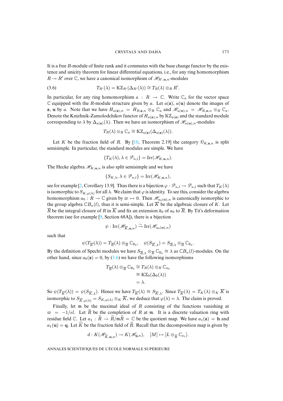<span id="page-27-0"></span>It is a free  $R$ -module of finite rank and it commutes with the base change functor by the existence and unicity theorem for linear differential equations, i.e., for any ring homomorphism  $R \to R'$  over  $\mathbb{C}$ , we have a canonical isomorphism of  $\mathcal{H}_{R',\mathbf{u},n}$ -modules

(3.6) 
$$
T_{R'}(\lambda) = K Z_{R'}(\Delta_{R'}(\lambda)) \cong T_R(\lambda) \otimes_R R'.
$$

In particular, for any ring homomorphism  $a : R \to \mathbb{C}$ . Write  $\mathbb{C}_a$  for the vector space  $\mathbb C$  equipped with the R-module structure given by a. Let  $a(\mathbf{z})$ ,  $a(\mathbf{u})$  denote the images of **z**, **u** by a. Note that we have  $H_{a(\mathbf{z}),n} = H_{R,\mathbf{z},n} \otimes_R \mathbb{C}_a$  and  $\mathcal{H}_{a(\mathbf{u}),n} = \mathcal{H}_{R,\mathbf{u},n} \otimes_R \mathbb{C}_a$ . Denote the Knizhnik-Zamolodchikov functor of  $H_{a(\mathbf{z}),n}$  by  $KZ_{a(\mathbf{z})}$  and the standard module corresponding to  $\lambda$  by  $\Delta_{a(\mathbf{z})}(\lambda)$ . Then we [have](#page-36-4) an isomorphism of  $\mathcal{H}_{a(\mathbf{u}),n}$ -modules

$$
T_R(\lambda) \otimes_R \mathbb{C}_a \cong KZ_{a(\mathbf{z})}(\Delta_{a(\mathbf{z})}(\lambda)).
$$

Let K be the fraction field of R. By [10, Theorem 2.19] the category  $\mathcal{O}_{K,\mathbf{z},n}$  is split semisimple. In particular, the standard modules are simple. We have

$$
\{T_K(\lambda), \lambda \in \mathcal{P}_{n,l}\} = \mathrm{Irr}(\mathcal{H}_{K,\mathbf{u},n}).
$$

The Hecke alge[br](#page-35-0)a  $\mathcal{H}_{K,\mathbf{u},n}$  is also split semisimple and we have

$$
\{S_{K,\lambda}, \lambda \in \mathcal{P}_{n,l}\} = \operatorname{Irr}(\mathcal{H}_{K,\mathbf{u},n}),
$$

see for example [2, Corollary 13.9]. Thus there is a bijection  $\varphi : \mathcal{P}_{n,l} \to \mathcal{P}_{n,l}$  such that  $T_K(\lambda)$ is isomorphic to  $S_{K,\varphi(\lambda)}$  for all  $\lambda$ . We claim that  $\varphi$  is identity. To see this, consider the algebra homomorphism  $a_0 : R \to \mathbb{C}$  $a_0 : R \to \mathbb{C}$  $a_0 : R \to \mathbb{C}$  given by  $\varpi \mapsto 0$ . Then  $\mathcal{H}_{a_0(u),n}$  is canonically isomorphic to the group algebra  $\mathbb{C}B_n(l)$ , thus it is semi-simple. Let  $\overline{K}$  be the algebraic closure of K. Let  $\overline{R}$  be the integral closure of R in  $\overline{K}$  and fix an extension  $\overline{a}_0$  of  $a_0$  to  $\overline{R}$ . By Tit's deformation theorem (see for example [9, Section 68A]), there is a bijection

$$
\psi : \operatorname{Irr}(\mathscr{H}_{\overline{K}, \mathbf{u}, n}) \xrightarrow{\sim} \operatorname{Irr}(\mathscr{H}_{a_0(\mathbf{u}), n})
$$

such that

$$
\psi(T_{\overline{K}}(\lambda)) = T_{\overline{R}}(\lambda) \otimes_{\overline{R}} \mathbb{C}_{\overline{a}_0}, \quad \psi(S_{\overline{K},\lambda}) = S_{\overline{R},\lambda} \otimes_{\overline{R}} \mathbb{C}_{\overline{a}_0}
$$

.

By the definition of Specht modules we have  $S_{\overline{R},\lambda} \otimes_{\overline{R}} \mathbb{C}_{\overline{a}_0} \cong \lambda$  as  $\mathbb{C}B_n(l)$ -modules. On the other hand, since  $a_0(\mathbf{z}) = 0$ , by (3.6) we have the following isomorphisms

$$
T_{\overline{R}}(\lambda) \otimes_{\overline{R}} \mathbb{C}_{\overline{a}_0} \cong T_R(\lambda) \otimes_R \mathbb{C}_{a_0}
$$
  
\n
$$
\cong \mathrm{KZ}_0(\Delta_0(\lambda))
$$
  
\n
$$
= \lambda.
$$

So  $\psi(T_{\overline{K}}(\lambda)) = \psi(S_{\overline{K},\lambda})$ . Hence we have  $T_{\overline{K}}(\lambda) \cong S_{\overline{K},\lambda}$ . Since  $T_{\overline{K}}(\lambda) = T_K(\lambda) \otimes_K \overline{K}$  is isomorphic to  $S_{\overline{K},\varphi(\lambda)} = S_{K,\varphi(\lambda)} \otimes_K \overline{K}$ , we deduce that  $\varphi(\lambda) = \lambda$ . The claim is proved.

Finally, let  $m$  be the maximal ideal of  $R$  consisting of the functions vanishing at  $\varpi = -1/e$ . Let  $\widehat{R}$  be the completion of R at m. It is a discrete valuation ring with residue field C. Let  $a_1 : \hat{R} \to \hat{R}/m\hat{R} = \mathbb{C}$  be the quotient map. We have  $a_1(\mathbf{z}) = \mathbf{h}$  and  $a_1(\mathbf{u}) = \mathbf{q}$ . Let  $\widehat{K}$  be the fraction field of  $\widehat{R}$ . Recall that the decomposition map is given by

$$
d: K(\mathscr{H}_{\widehat{K},\mathbf{u},n}) \to K(\mathscr{H}_{\mathbf{q},n}), \quad [M] \mapsto [L \otimes_{\widehat{R}} \mathbb{C}_{a_1}].
$$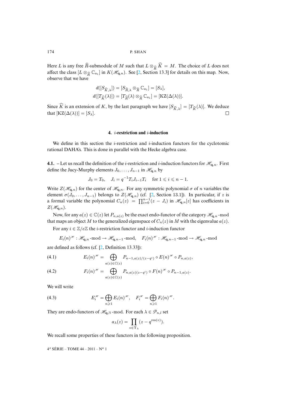Here L is any free  $\widehat{R}$ -submodule of M such that  $L \otimes_{\widehat{R}} \widehat{K} = M$ . The choice of L does not affect the class  $[L \otimes_{\widehat{R}} \mathbb{C}_{a_1}]$  in  $K(\mathcal{H}_{\mathbf{q},n})$ . See [2, Section 13.3] for details on this map. Now, observe that we have observe that we have

$$
d([S_{\widehat{K},\lambda}]) = [S_{\widehat{R},\lambda} \otimes_{\widehat{R}} \mathbb{C}_{a_1}] = [S_{\lambda}],
$$
  

$$
d([T_{\widehat{K}}(\lambda)]) = [T_{\widehat{R}}(\lambda) \otimes_{\widehat{R}} \mathbb{C}_{a_1}] = [KZ(\Delta(\lambda))].
$$

Since K is an extension of K, by the last paragraph we have  $[S_{\widehat{K},\lambda}] = [T_{\widehat{K}}(\lambda)]$ . We deduce that  $[KZ(\Lambda(\lambda))] = [S_{\lambda}]$ that  $[KZ(\Delta(\lambda))] = [S_{\lambda}]$ .  $\Box$ 

# **4.** i**-restriction and** i**-induction**

We define in this section the *i*-restriction and *i*-induction functors for the cyclotomic rational DAHA's. This is done in parallel with the Hecke algebra case.

**4.1.** – Let us recall the definition of the *i*-restriction and *i*-induction functors for  $\mathcal{H}_{q,n}$ . First define the Jucy-Murphy elements  $J_0, \ldots, J_{n-1}$  in  $\mathcal{H}_{q,n}$  by

$$
J_0 = T_0
$$
,  $J_i = q^{-1} T_i J_{i-1} T_i$  for  $1 \le i \le n - 1$ .

Write  $Z(\mathcal{H}_{\mathbf{q},n})$  for the center of  $\mathcal{H}_{\mathbf{q},n}$ . For any symmetric polynomial  $\sigma$  of n variables the element  $\sigma(J_0,\ldots,J_{n-1})$  belongs to  $Z(\mathcal{H}_{q,n})$  (cf. [2, Section 13.1]). In particular, if z is a formal variable the polynomial  $C_n(z) = \prod_{i=0}^{n-1} (z - J_i)$  in  $\mathcal{H}_{q,n}[z]$  has coefficients in  $Z(\mathscr{H}_{\mathbf{q},n}).$ 

Now, for any  $a(z) \in \mathbb{C}(z)$  let  $P_{n,a(z)}$  be the exact endo-functor of the category  $\mathcal{H}_{q,n}$ -mod that maps an object M to the generalized eigenspace of  $C_n(z)$  in M with the eigenvalue  $a(z)$ .

For any  $i \in \mathbb{Z}/e\mathbb{Z}$  the *i*-[re](#page-35-0)striction functor and *i*-induction functor

$$
E_i(n)^{\mathscr{H}}:\mathscr{H}_{\mathbf{q},n}\text{-mod}\to\mathscr{H}_{\mathbf{q},n-1}\text{-mod},\quad F_i(n)^{\mathscr{H}}:\mathscr{H}_{\mathbf{q},n-1}\text{-mod}\to\mathscr{H}_{\mathbf{q},n}\text{-mod}
$$

are defined as follows (cf. [2, Definition 13.33]):

$$
(4.1) \t E_i(n)^{\mathscr{H}} = \bigoplus_{a(z) \in \mathbb{C}(z)} P_{n-1,a(z)/(z-q^i)} \circ E(n)^{\mathscr{H}} \circ P_{n,a(z)},
$$

(4.2) 
$$
F_i(n)^{\mathscr{H}} = \bigoplus_{a(z) \in \mathbb{C}(z)} P_{n,a(z)(z-q^i)} \circ F(n)^{\mathscr{H}} \circ P_{n-1,a(z)}.
$$

We will write

(4.3) 
$$
E_i^{\mathscr{H}} = \bigoplus_{n \geq 1} E_i(n)^{\mathscr{H}}, \quad F_i^{\mathscr{H}} = \bigoplus_{n \geq 1} F_i(n)^{\mathscr{H}}.
$$

They are endo-functors of  $\mathcal{H}_{q,N}$ -mod. For each  $\lambda \in \mathcal{P}_{n,l}$  set

$$
a_{\lambda}(z) = \prod_{v \in \Upsilon_{\lambda}} (z - q^{\text{res}(v)}).
$$

We recall some properties of these functors in the following proposition.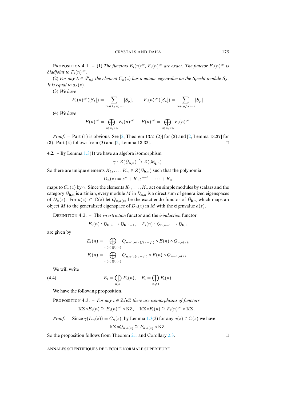**PROPOSITION 4.1.**  $-$  (1) The functors  $E_i(n)$ <sup> $\mathscr{H}$ </sup>,  $F_i(n)$ <sup> $\mathscr{H}$ </sup> are exact. The functor  $E_i(n)$ <sup> $\mathscr{H}$ </sup> is *biadjoint to*  $F_i(n)$ <sup>*n*</sup>.

(2) *For any*  $\lambda \in \mathcal{P}_{n,l}$  *the element*  $C_n(z)$  *has a unique eigenvalue on the Specht module*  $S_\lambda$ *. It is equal to*  $a_{\lambda}(z)$ *.* 

(3) *We have*

$$
E_i(n)^{\mathscr{H}}([S_\lambda]) = \sum_{\text{res}(\lambda/\mu)=i} [S_\mu], \qquad F_i(n)^{\mathscr{H}}([S_\lambda]) = \sum_{\text{res}(\mu/\lambda)=i} [S_\mu].
$$

(4) *We have*

$$
E(n)^{\mathscr{H}} = \bigoplus_{i \in \mathbb{Z}/e\mathbb{Z}} E_i(n)^{\mathscr{H}}, \quad F(n)^{\mathscr{H}} = \bigoplus_{i \in \mathbb{Z}/e\mathbb{Z}} F_i(n)^{\mathscr{H}}.
$$

*Proof.* – Part [\(1\)](#page-0-0) is obvious. See [2, Theorem 13.21(2)] for (2) and [2, Lemma 13.37] for (3). Part (4) follows from (3) and [2, Lemma 13.32].  $\Box$ 

**4.2. –** By Lemma 1.3(1) we have an algebra isomorphism

$$
\gamma: Z(\mathcal{O}_{\mathbf{h},n}) \stackrel{\sim}{\to} Z(\mathscr{H}_{\mathbf{q},n}).
$$

So there are unique elements  $K_1, \ldots, K_n \in Z(\mathcal{O}_{\mathbf{h},n})$  such that the polynomial

$$
D_n(z) = z^n + K_1 z^{n-1} + \dots + K_n
$$

maps to  $C_n(z)$  by  $\gamma$ . Since the elements  $K_1, \ldots, K_n$  act on simple modules by scalars and the category  $\mathcal{O}_{\mathbf{h},n}$  is artinian, every module M in  $\mathcal{O}_{\mathbf{h},n}$  is a direct sum of generalized eigenspaces of  $D_n(z)$ . For  $a(z) \in \mathbb{C}(z)$  let  $Q_{n,a(z)}$  be the exact endo-functor of  $\mathcal{O}_{\mathbf{h},n}$  which maps an object M to the generalized eigenspace of  $D_n(z)$  in M with the eigenvalue  $a(z)$ .

DEFINITION 4.2. – The *i*-restriction functor and the *i*-induction functor

 $E_i(n): \mathcal{O}_{\mathbf{h},n} \to \mathcal{O}_{\mathbf{h},n-1}, \quad F_i(n): \mathcal{O}_{\mathbf{h},n-1} \to \mathcal{O}_{\mathbf{h},n}$ 

are given by

$$
E_i(n) = \bigoplus_{a(z) \in \mathbb{C}(z)} Q_{n-1,a(z)/(z-q^i)} \circ E(n) \circ Q_{n,a(z)},
$$
  

$$
F_i(n) = \bigoplus_{a(z) \in \mathbb{C}(z)} Q_{n,a(z)(z-q^i)} \circ F(n) \circ Q_{n-1,a(z)}.
$$

We will write

 $(4.4)$ 

<span id="page-29-0"></span>
$$
E_i = \bigoplus_{n \geqslant 1} E_i(n), \quad F_i = \bigoplus_{n \geqslant 1} F_i(n).
$$

We have the following proposition.

**PROPOSITION 4.3.** – *For any*  $i \in \mathbb{Z}/e\mathbb{Z}$  *there a[re is](#page-0-0)omorphisms of functors* 

$$
\mathrm{KZ} \circ E_i(n) \cong E_i(n)^{\mathscr{H}} \circ \mathrm{KZ}, \quad \mathrm{KZ} \circ F_i(n) \cong F_i(n)^{\mathscr{H}} \circ \mathrm{KZ}.
$$

*Proof.* – Since  $\gamma(D_n(z)) = C_n(z)$ , by [Lem](#page-0-0)ma 1.3(2) for [any](#page-0-0)  $a(z) \in \mathbb{C}(z)$  we have

$$
\mathrm{KZ} \circ Q_{n,a(z)} \cong P_{n,a(z)} \circ \mathrm{KZ} \, .
$$

So the proposition follows from Theorem 2.1 and Corollary 2.3.

ANNALES SCIENTIFIQUES DE L'ÉCOLE NORMALE SUPÉRIEURE

 $\Box$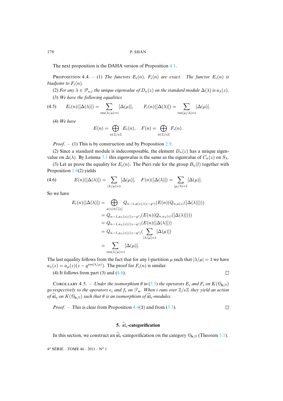The next proposition is the DAHA version of Proposition 4.1.

**PROPOSITION 4.4.** – (1) The functors  $E_i(n)$ ,  $F_i(n)$  are exact. The functor  $E_i(n)$  is *biadjoint to*  $F_i(n)$ *.* 

(2) *For any*  $\lambda \in \mathcal{P}_{n,l}$  *the unique eigenvalue of*  $D_n(z)$  *on the standard module*  $\Delta(\lambda)$  *is*  $a_{\lambda}(z)$ *.* (3) *We have the following equalities*

(4.5) 
$$
E_i(n)([\Delta(\lambda)]) = \sum_{\text{res}(\lambda/\mu)=i} [\Delta(\mu)], \qquad F_i(n)([\Delta(\lambda)]) = \sum_{\text{res}(\mu/\lambda)=i} [\Delta(\mu)].
$$

(4) *We have*

$$
E(n) = \bigoplus_{i \in \mathbb{Z}/e\mathbb{Z}} E_i(n), \quad F(n) = \bigoplus_{i \in \mathbb{Z}/e\mathbb{Z}} F_i(n).
$$

<span id="page-30-0"></span>*Proof*. – (1) This is by construction and by Proposition 2.9.

(2) Since [a st](#page-0-0)andard module is indecomposable, the element  $D_n(z)$  has a unique eigenvalue on  $\Delta(\lambda)$ . By Lemma 3.1 this eigenvalue is the same as the eigenvalue of  $C_n(z)$  on  $S_\lambda$ .

(3) Let us prove the equality for  $E_i(n)$ . The Pieri rule for the group  $B_n(l)$  together with Proposition 1.6(2) yields

(4.6) 
$$
E(n)([\Delta(\lambda)]) = \sum_{|\lambda/\mu|=1} [\Delta(\mu)], \quad F(n)([\Delta(\lambda)]) = \sum_{|\mu/\lambda|=1} [\Delta(\mu)].
$$

So we have

$$
E_i(n)([\Delta(\lambda)]) = \bigoplus_{a(z) \in \mathbb{C}[z]} Q_{n-1,a(z)/(z-q^i)}(E(n)(Q_{n,a(z)}([\Delta(\lambda)])))
$$
  
\n
$$
= Q_{n-1,a_\lambda(z)/(z-q^i)}(E(n)(Q_{n,a_\lambda(z)}([\Delta(\lambda)])))
$$
  
\n
$$
= Q_{n-1,a_\lambda(z)/(z-q^i)}(E(n)([\Delta(\lambda)]))
$$
  
\n
$$
= Q_{n-1,a_\lambda(z)/(z-q^i)}(\sum_{|\lambda/\mu|=1} [\Delta(\mu)])
$$
  
\n
$$
= \sum_{\text{res}(\lambda/\mu)=i} [\Delta(\mu)].
$$

The last equality follows from the fact that for any *l*-partition  $\mu$  such that  $|\lambda/\mu| = 1$  we have  $a_{\lambda}(z) = a_{\mu}(z)(z - q^{\text{res}(\lambda/\mu)})$ . The proof for  $F_i(n)$  i[s sim](#page-26-0)ilar.

(4) It follows from part  $(3)$  and  $(4.6)$ .

 $\Box$ 

COROLLARY 4.5. – *Under the isomorphism*  $\theta$  *in* (3.5) *the operators*  $E_i$  *and*  $F_i$  *on*  $K(\mathcal{O}_{h,N})$ *go respectively to the operators*  $e_i$  *and*  $f_i$  *on*  $\mathcal{F}_s$  $\mathcal{F}_s$  $\mathcal{F}_s$ *. When i runs over*  $\mathbb{Z}/e\mathbb{Z}$  *they yield an action of*  $\widehat{\mathfrak{sl}}_e$  *on*  $K(\mathcal{O}_{\mathbf{h},\mathbb{N}})$  *such that*  $\theta$  *is an isomorphism of*  $\widehat{\mathfrak{sl}}_e$ *-modules.* 

*Proof.* – This is clear from Proposition 4.4(3) and from (3.3).  $\Box$ 

# **5.**  $\widetilde{\mathfrak{sl}}_e$ -categorification

In this section, we construct an  $\tilde{\mathfrak{sl}}_e$ -categorification on the category  $\mathcal{O}_{h,N}$  (Theorem 5.1).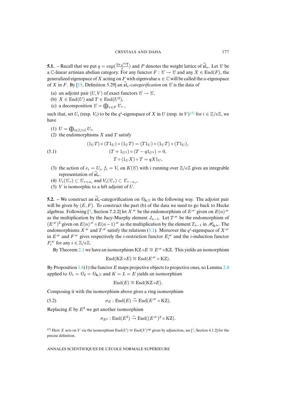**5.1.** – Recall t[hat](#page-36-7) we put  $q = \exp(\frac{2\pi\sqrt{-1}}{e})$  and P denotes the weight lattice of  $\tilde{\mathfrak{sl}}_e$ . Let  $\mathcal C$  be a C-linear artinian abelian category. For any functor  $F : \mathcal{C} \to \mathcal{C}$  and any  $X \in \text{End}(F)$ , the generalized eigenspace of X acting on F with eigenvalue  $a \in \mathbb{C}$  will be called the a-eigenspace of X in F. By [15, Definition 5.29] an  $\tilde{\mathfrak{sl}}_e$ -categorification on  $\mathcal C$  is the data of

- (a) an adjoint pair  $(U, V)$  of exact functors  $\mathcal{C} \to \mathcal{C}$ ,
- (b)  $X \in \text{End}(U)$  and  $T \in \text{End}(U^2)$ ,
- (c) a decomposition  $\mathcal{C} = \bigoplus_{\tau \in P} \mathcal{C}_{\tau}$ ,

such that, set  $U_i$  (resp.  $V_i$ ) to be the  $q^i$ -eigenspace of X in U (resp. in V)<sup>(1)</sup> for  $i \in \mathbb{Z}/e\mathbb{Z}$ , we have

<span id="page-31-0"></span>
$$
(1) U = \bigoplus_{i \in \mathbb{Z}/e\mathbb{Z}} U_i,
$$

(2) the endomorphisms  $X$  and  $T$  satisfy

(5.1) 
$$
(1_U T) \circ (T1_U) \circ (1_U T) = (T1_U) \circ (1_U T) \circ (T1_U),
$$

$$
(T + 1_{U^2}) \circ (T - q1_{U^2}) = 0,
$$

$$
T \circ (1_U X) \circ T = qX1_U,
$$

- (3) the action of  $e_i = U_i$ ,  $f_i = V_i$  on  $K(\mathcal{C})$  with i running over  $\mathbb{Z}/e\mathbb{Z}$  gives an integrable representation of  $\widehat{\mathfrak{sl}}_e$ .
- (4)  $U_i(\mathcal{C}_{\tau}) \subset \mathcal{C}_{\tau+\alpha_i}$  and  $V_i(\mathcal{C}_{\tau}) \subset \mathcal{C}_{\tau-\alpha_i}$ ,
- (5)  $V$  is isomorphic to a left adjoint of  $U$ .

**5.2.** – We construct an  $\tilde{\mathfrak{sl}}_e$ -categorification on  $\mathcal{O}_{h,N}$  in the following way. The adjoint pair will be given by  $(E, F)$ . To construct the part (b) of the data we need to go back to Hecke algebras. Following [7, Section 7.2.2] let  $X^{\mathcal{H}}$  be th[e en](#page-31-0)domorphism of  $E^{\mathcal{H}}$  given on  $E(n)^{\mathcal{H}}$ as the multiplication by the Jucy-Murphy element  $J_{n-1}$ . Let  $T^{\mathcal{H}}$  be the endomorphism of  $(E^{\mathcal{H}})^2$  given on  $E(n)^{\mathcal{H}} \circ E(n-1)^{\mathcal{H}}$  as the multiplication by the element  $T_{n-1}$  in  $\mathcal{H}_{q,n}$ . The endomorphisms  $X^{\mathcal{H}}$  $X^{\mathcal{H}}$  and  $T^{\mathcal{H}}$  satisfy the relations (5.1). Moreover the  $q^{i}$ -eigenspace of  $X^{\mathcal{H}}$ in  $E^{\mathcal{H}}$  and  $F^{\mathcal{H}}$  gives respectively the *i*-restriction functor  $E_i^{\mathcal{H}}$  and the *i*-induction functor  $F_i^{\mathscr{H}}$  for any  $i \in \mathbb{Z}/e\mathbb{Z}$ .

By Theorem [2.1](#page-0-0) we have an isomorph[ism](#page-0-0) KZ  $\circ E \cong E^* \circ KZ$ . This yields an isomorphism

$$
End(KZ \circ E) \cong End(E^{\mathscr{H}} \circ KZ).
$$

By Proposition 1.6(1) the functor E maps projective objects to projective ones, so Lemma 2.4 applied to  $\theta_1 = \theta_2 = \theta_{h,N}$  and  $K = L = E$  yields an isomorphism

<span id="page-31-1"></span>
$$
End(E) \cong End(KZ \circ E).
$$

Composing it with the isomorphism above gives a ring isomorphism

(5.2) 
$$
\sigma_E: \text{End}(E) \stackrel{\sim}{\to} \text{End}(E^{\mathcal{H}} \circ \text{KZ}).
$$

Replacing  $E$  by  $E^2$  we get another isomorphism

$$
\sigma_{E^2} : \mathrm{End}(E^2) \stackrel{\sim}{\to} \mathrm{End}((E^{\mathscr{H}})^2 \circ \mathrm{KZ}).
$$

(1) Here X acts on V via the isomorphism  $\text{End}(U) \cong \text{End}(V)^{op}$  given by adjunction, see [7, Section 4.1.2] for the precise definition.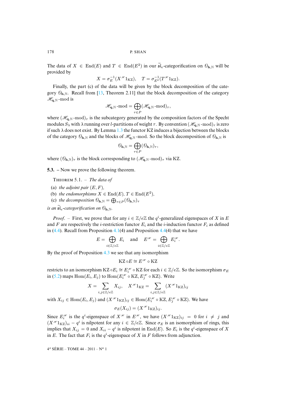The data of  $X \in \text{End}(E)$  and  $T \in \text{End}(E^2)$  in our  $\mathfrak{sl}_e$ -categorification on  $\mathcal{O}_{\mathbf{h},\mathbb{N}}$  will be provided by

$$
X = \sigma_E^{-1}(X^{\mathcal{H}}1_{\mathrm{KZ}}), \quad T = \sigma_{E^2}^{-1}(T^{\mathcal{H}}1_{\mathrm{KZ}}).
$$

Finally, the part (c) of the data will be given by the block decomposition of the category  $\mathcal{O}_{h,N}$ . Recall from [13, Theorem 2.11] that the block decomposition of the category  $\mathscr{H}_{\mathbf{q},\mathbb{N}}$ -mod is

$$
\mathscr{H}_{\mathbf{q}, \mathbb{N}} \operatorname{-mod} = \bigoplus_{\tau \in P} (\mathscr{H}_{\mathbf{q}, \mathbb{N}} \operatorname{-mod})_\tau,
$$

where  $(\mathcal{H}_{q,N}$ -mod)<sub>τ</sub> is the subcategory generated by the composition factors of the Specht modules  $S_\lambda$  with  $\lambda$  running over l-partitions of weight  $\tau$ . By convention  $(\mathscr{H}_{q,N} \text{-mod})_\tau$  is zero if such  $\lambda$  does not exist. By Lemma 1.3 the functor KZ induces a bijection between the blocks of the category  $\mathcal{O}_{\mathbf{h},N}$  and the blocks of  $\mathcal{H}_{\mathbf{q},N}$ -mod. So the block decomposition of  $\mathcal{O}_{\mathbf{h},N}$  is

$$
\mathcal{O}_{\mathbf{h},\mathbb{N}}=\bigoplus_{\tau\in P}(\mathcal{O}_{\mathbf{h},\mathbb{N}})_{\tau},
$$

where  $(\mathcal{O}_{\mathbf{h},\mathbb{N}})_{\tau}$  is the block corresponding to  $(\mathcal{H}_{\mathbf{q},\mathbb{N}}\text{-mod})_{\tau}$  via KZ.

**5.3. –** Now we prove the following theorem.

THEOREM 5.1. - The data of

- (a) *the adjoint pair*  $(E, F)$ *,*
- (b) *the endomorphisms*  $X \in \text{End}(E)$ ,  $T \in \text{End}(E^2)$ ,
- (c) the decomposition  $\mathcal{O}_{\mathbf{h},\mathbb{N}} = \bigoplus_{\tau \in P} (\mathcal{O}_{\mathbf{h},\mathbb{N}})_{\tau}$

*is an*  $\widetilde{\mathfrak{sl}}_e$  $\widetilde{\mathfrak{sl}}_e$  $\widetilde{\mathfrak{sl}}_e$ -categorification on  $\mathcal{O}_h$ <sub>N</sub>.

*Proof.* – First, we prove that for any  $i \in \mathbb{Z}/e\mathbb{Z}$  the  $q^i$ -generalized eigenspaces of X in E and F are respectively the *i*-restriction functor  $E_i$  and the *i*-induction functor  $F_i$  as defined in  $(4.4)$ . Recall from Propos[ition](#page-0-0) 4.1(4) and Proposition 4.4(4) that we have

$$
E = \bigoplus_{i \in \mathbb{Z}/e\mathbb{Z}} E_i \quad \text{and} \quad E^{\mathscr{H}} = \bigoplus_{i \in \mathbb{Z}/e\mathbb{Z}} E_i^{\mathscr{H}}.
$$

By [the](#page-31-1) proof of Proposition 4.3 we see that any isomorphism

$$
\mathsf{KZ} \circ E \cong E^{\mathscr{H}} \circ \mathsf{KZ}
$$

restricts to an isomorphism KZ  $\circ E_i \cong E_i^{\mathcal{H}} \circ \text{KZ}$  for each  $i \in \mathbb{Z}/e\mathbb{Z}$ . So the isomorphism  $\sigma_E$ in (5.2) maps  $\mathrm{Hom}(E_i,E_j)$  to  $\mathrm{Hom}(E_i^{*{\mathscr R}}\circ\mathrm{KZ},E_j^{*{\mathscr R}}\circ\mathrm{KZ}).$  Write

$$
X = \sum_{i,j \in \mathbb{Z}/e\mathbb{Z}} X_{ij}, \quad X^{\mathscr{H}} 1_{\mathrm{KZ}} = \sum_{i,j \in \mathbb{Z}/e\mathbb{Z}} (X^{\mathscr{H}} 1_{\mathrm{KZ}})_{ij}
$$

with  $X_{ij} \in \text{Hom}(E_i, E_j)$  and  $(X^{\mathcal{H}}1_{\text{KZ}})_{ij} \in \text{Hom}(E_i^{\mathcal{H}} \circ \text{KZ}, E_j^{\mathcal{H}} \circ \text{KZ})$ . We have

 $\sigma_E(X_{ij}) = (X^{\mathcal{H}} 1_{\text{KZ}})_{ij}.$ 

Since  $E_i^{\mathcal{H}}$  is the q<sup>i</sup>-eigenspace of  $X^{\mathcal{H}}$  in  $E^{\mathcal{H}}$ , we have  $(X^{\mathcal{H}}1_{\text{KZ}})_{ij} = 0$  for  $i \neq j$  and  $(X^{\mathscr{H}}1_{\mathrm{KZ}})_{ii} - q^i$  is nilpotent for any  $i \in \mathbb{Z}/e\mathbb{Z}$ . Since  $\sigma_E$  is an isomorphism of rings, this implies that  $X_{ij} = 0$  and  $X_{ii} - q^i$  is nilpotent in End(E). So  $E_i$  is the  $q^i$ -eigenspace of X in E. The fact that  $F_i$  is the  $q^i$ -eigenspace of X in F follows from adjunction.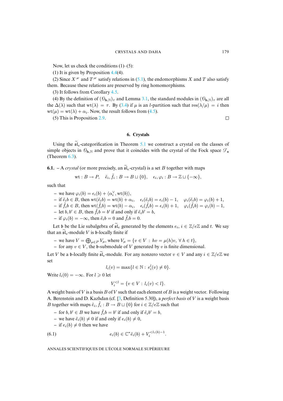Now, let us check the conditions  $(1)$ – $(5)$ :

(1) It is given by Proposition [4.4\(](#page-0-0)4).

(2) Since  $X^{\mathcal{H}}$  and  $T^{\mathcal{H}}$  satisfy relations in (5.[1\), t](#page-0-0)he endomorphisms X and T also satisfy them. Because these relations are pr[eserv](#page-26-2)ed by ring homomorphisms.

(3) It follows from Corollary 4.5.

(4) By the definition of  $(\mathcal{O}_{h,N})_\tau$  $(\mathcal{O}_{h,N})_\tau$  $(\mathcal{O}_{h,N})_\tau$  and Lemma 3.1, the standard modules in  $(\mathcal{O}_{h,N})_\tau$  are all the  $\Delta(\lambda)$  such that wt( $\lambda$ ) =  $\tau$ . By (3.4) if  $\mu$  is an *l*-partition such that res( $\lambda/\mu$ ) = *i* then  $wt(\mu) = wt(\lambda) + \alpha_i$ . Now, the result follows from (4.5).

(5) This is Proposition 2.9.

 $\Box$ 

# **6. Crystals**

Using the  $\tilde{\mathfrak{sl}}_e$ -categorification in Theorem 5.1 we construct a crystal on the classes of simple objects in  $\mathcal{O}_{h,N}$  and prove that it coincides with the crystal of the Fock space  $\mathcal{F}_{s}$ (Theorem 6.3).

**6.1.** – A *crystal* (or more precisely, an  $\tilde{\mathfrak{sl}}_e$ -crystal) is a set B together with maps

$$
\mathrm{wt}:B\to P,\quad \tilde{e}_i,\tilde{f}_i:B\to B\sqcup\{0\},\quad \epsilon_i,\varphi_i:B\to \mathbb{Z}\sqcup\{-\infty\},
$$

such that

- $-$  we have  $\varphi_i(b) = \epsilon_i(b) + \langle \alpha_i^{\vee}, \text{wt}(b) \rangle$ ,
- $-$  if  $\tilde{e}_i b \in B$ , then  $\text{wt}(\tilde{e}_i b) = \text{wt}(b) + \alpha_i$ ,  $\epsilon_i(\tilde{e}_i b) = \epsilon_i(b) 1$ ,  $\varphi_i(\tilde{e}_i b) = \varphi_i(b) + 1$ ,
- $-$  if  $\tilde{f}_i b \in B$ , then  $\text{wt}(\tilde{f}_i b) = \text{wt}(b) \alpha_i$ ,  $\epsilon_i(\tilde{f}_i b) = \epsilon_i(b) + 1$ ,  $\varphi_i(\tilde{f}_i b) = \varphi_i(b) 1$ ,
- **−** let  $b, b' \in B$ , then  $\tilde{f}_i b = b'$  if and only if  $\tilde{e}_i b' = b$ ,
- $-$  if  $\varphi_i(b) = -\infty$ , then  $\tilde{e}_i b = 0$  and  $\tilde{f}_i b = 0$ .

Let b be the Lie subalgebra of  $\tilde{\mathfrak{sl}}_e$  generated by the elements  $e_i, i \in \mathbb{Z}/e\mathbb{Z}$  and t. We say that an  $\mathfrak{sl}_e$ -module V is b-locally finite if

- **−** we have  $V = \bigoplus_{\mu \in P} V_{\mu}$ , where  $V_{\mu} = \{v \in V : hv = \mu(h)v, \forall h \in t\},$
- **–** for any v ∈ V , the b-submodule of V generated by v is finite dimensional.

Let V be a b-locally finite  $\widetilde{\mathfrak{sl}}_e$ -module. For any nonzero vector  $v \in V$  and any  $i \in \mathbb{Z}/e\mathbb{Z}$  we set

$$
l_i(v) = \max\{l \in \mathbb{N} : e_i^l(v) \neq 0\}.
$$

Write  $l_i(0) = -\infty$ . For  $l \geq 0$  let

$$
V_i^{< l} = \{ v \in V : l_i(v) < l \}.
$$

A weight basis of V is a basis B of V such that each element of B is a weight vector. Following A. Berenstein and D. Kazhdan (cf. [3, Definition 5.30]), a *perfect basis* of V is a weight basis *B* together with maps  $\tilde{e}_i$ ,  $\tilde{f}_i : B \to B \sqcup \{0\}$  for  $i \in \mathbb{Z}/e\mathbb{Z}$  such that

- **−** for *b*, *b'* ∈ *B* we have  $\tilde{f}_i b = b'$  if and only if  $\tilde{e}_i b' = b$ ,
- we have  $\tilde{e}_i(b) \neq 0$  if and only if  $e_i(b) \neq 0$ ,

 $-$  if  $e_i(b) \neq 0$  then we have

(6.1) 
$$
e_i(b) \in \mathbb{C}^* \tilde{e}_i(b) + V_i^{
$$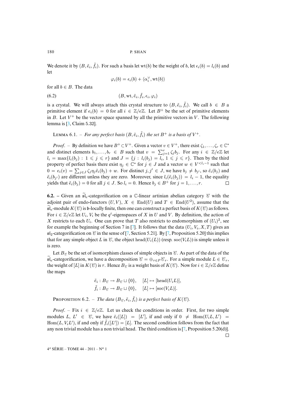We denote it by  $(B, \tilde{e}_i, \tilde{f}_i)$ . For such a basis let wt(b) be the weight of b, let  $\epsilon_i(b) = l_i(b)$  and let

<span id="page-34-0"></span>
$$
\varphi_i(b) = \epsilon_i(b) + \langle \alpha_i^{\vee}, \text{wt}(b) \rangle
$$

for all  $b \in B$ . The data

$$
(6.2) \qquad (B, \text{wt}, \tilde{e}_i, \tilde{f}_i, \epsilon_i, \varphi_i)
$$

is a cryst[al.](#page-36-9) We will always attach this crystal structure to  $(B, \tilde{e}_i, \tilde{f}_i)$ . We call  $b \in B$  a primitive element if  $e_i(b) = 0$  for all  $i \in \mathbb{Z}/e\mathbb{Z}$ . Let  $B^+$  be the set of primitive elements in B. Let  $V^+$  be the vector space spanned by all the primitive vectors in V. The following lemma is [3, Claim 5.32].

LEMMA 6.1. – For any perfect basis  $(B, \tilde{e}_i, \tilde{f}_i)$  the set  $B^+$  is a basis of  $V^+$ .

*Proof.* – By definition we have  $B^+ \subset V^+$ . Given a vector  $v \in V^+$ , there exist  $\zeta_1, \ldots, \zeta_r \in \mathbb{C}^*$ and distinct elements  $b_1, \ldots, b_r \in B$  such that  $v = \sum_{j=1}^r \zeta_j b_j$ . For any  $i \in \mathbb{Z}/e\mathbb{Z}$  let  $l_i = \max\{l_i(b_j) : 1 \leq j \leq r\}$  and  $J = \{j : l_i(b_j) = l_i, 1 \leq j \leq r\}$ . Then by the third property of perfect basis there exist  $\eta_j \in \mathbb{C}^*$  for  $j \in J$  and a vector  $w \in V^{\leq l_i-1}$  such that  $0 = e_i(v) = \sum_{j \in J} \zeta_j \eta_j \tilde{e}_i(b_j) + w$ . For distinct  $j, j' \in J$ , we have  $b_j \neq b_{j'}$ , so  $\tilde{e}_i(b_j)$  and  $\tilde{e}_i(b_{j'})$  are different unless they are zero. Moreover, since  $l_i(\tilde{e}_i(b_j)) = l_i - 1$ , the equality yields that  $\tilde{e}_i(b_j) = 0$  for all  $j \in J$ . So  $l_i = 0$ . Hence  $b_j \in B^+$  for  $j = 1, \ldots, r$ .  $\Box$ 

**6.2.** – Given an  $\widetilde{\mathfrak{sl}}_e$ -categorification on a C-linear artinian abelian category  $\mathcal C$  with the adjoint pair of endo-functors  $(U, V)$ ,  $X \in End(U)$  and  $T \in End(U^2)$ , assume that the  $\mathfrak{sl}_e$ -module  $K(\mathcal{C})$  is b-locally finite, then o[ne c](#page-36-10)an construct a perfect basis of  $K(\mathcal{C})$  as follows. For  $i \in \mathbb{Z}/e\mathbb{Z}$  let  $U_i$ ,  $V_i$  $V_i$  be the  $q^i$ -eigens[pa](#page-36-10)ces of X in U and V. By definition, the action of X restricts to each  $U_i$ . One can prove that T also restricts to endomorphism of  $(U_i)^2$ , see for example the beginning of Section 7 in [7]. It follows that the data  $(U_i, V_i, X, T)$  gives an  $sI<sub>2</sub>$ -categorification on  $\mathcal C$  in the sense of [7, Section 5.21]. By [7, Proposition 5.20] this implies that for any simple object L in  $\mathcal C$ , the object head( $U_i(L)$ ) (resp. soc( $V_iL$ )) is simple unless it is zero.

Let  $B_{\mathcal{C}}$  be the set of isomorphism classes of simple objects in  $\mathcal{C}$ . As part of the data of the  $\mathfrak{sl}_e$ -categorification, we have a decomposition  $\mathcal{C} = \bigoplus_{\tau \in P} \mathcal{C}_{\tau}$ . For a simple module  $L \in \mathcal{C}_{\tau}$ , the weight of [L] in  $K(\mathcal{C})$  is  $\tau$ . Hence  $B_{\mathcal{C}}$  is a weight basis of  $K(\mathcal{C})$ . Now for  $i \in \mathbb{Z}/e\mathbb{Z}$  define the maps

$$
\tilde{e}_i : B_{\mathcal{C}} \to B_{\mathcal{C}} \sqcup \{0\}, \quad [L] \mapsto [\text{head}(U_i L)], \tilde{f}_i : B_{\mathcal{C}} \to B_{\mathcal{C}} \sqcup \{0\}, \quad [L] \mapsto [\text{soc}(V_i L)].
$$

**PROPOSITION 6.2.** – *The data*  $(B_{\mathcal{C}}, \tilde{e}_i, \tilde{f}_i)$  *is a perfect basis of*  $K(\mathcal{C})$ *.* 

4 <sup>e</sup> SÉRIE – TOME 44 – 2011 – N<sup>o</sup> 1

*Proof[.](#page-36-10)* – Fix  $i \in \mathbb{Z}/e\mathbb{Z}$ . Let us check the conditions in order. First, for two simple modules L,  $L' \in \mathcal{C}$ , we have  $\tilde{e}_i([L]) = [L']$ , if and only if  $0 \neq \text{Hom}(U_i L, L') =$  $Hom(L, V_i L'),$  if and only if  $\tilde{f}_i([L']) = [L].$  The second condition follows from the fact that any non trivial module has a non trivial head. The third condition is [7, Proposition 5.20(d)].

 $\Box$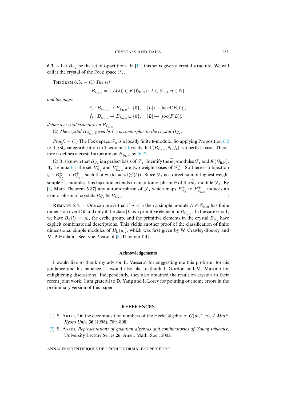**6.3.** – Let  $B_{\mathcal{F}_s}$  be the set of *l*-partitions. In [11] this set is given a crystal structure. We will call it the crystal of the Fock space  $\mathcal{F}_{s}$ .

THEOREM  $6.3. - (1)$  *The set* 

$$
B_{\mathcal{O}_{\mathbf{h},\mathbb{N}}} = \{ [L(\lambda)] \in K(\mathcal{O}_{\mathbf{h},\mathbb{N}}) : \lambda \in \mathcal{P}_{n,l}, n \in \mathbb{N} \}
$$

*and the maps*

$$
\tilde{e}_i: B_{\theta_{\mathbf{h},\mathbb{N}}}\to B_{\theta_{\mathbf{h},\mathbb{N}}}\sqcup\{0\}, \quad [L]\mapsto [\text{head}(E_iL)],
$$
  

$$
\tilde{f}_i: B_{\theta_{\mathbf{h},\mathbb{N}}}\to B_{\theta_{\mathbf{h},\mathbb{N}}}\sqcup\{0\}, \quad [L]\mapsto [\text{soc}(F_iL)].
$$

define a crystal structure on  $B_{\mathcal{O}_\mathbf{h}, \mathbb{N}}.$ 

(2) The crystal  $B_{\mathcal{O}_\mathbf{h},\mathbb{N}}$  given by (1) is [isom](#page-0-0)or[phic](#page-34-0) to the crystal  $B_{\mathcal{F}_\mathbf{s}}$ .

*Proof.* – (1) The Fock space  $\mathcal{F}_s$  is a locally finite b-module. So applying Proposition 6.2 to the  $\tilde{\mathfrak{sl}}_e$ -c[atego](#page-0-0)rification in Theorem 5.1 yields that  $(B_{\mathcal{O}_{h,\mathbb{N}}}, \tilde{e}_i, \tilde{f}_i)$  is a perfect basis. Therefore it defines a crystal structure on  $B_{\theta_{\mathbf{h},\mathbb{N}}}$  by (6.2).

(2) It is known that  $B_{\mathcal{F}_s}$  is a perfect basis of  $\mathcal{F}_s$ . Identify the  $\mathfrak{sl}_e$ -modules  $\mathcal{F}_s$  and  $K(\mathcal{O}_h,\mathbb{N})$ . [By](#page-36-9) Lemma 6.1 the set  $B_{\mathcal{G}_s}^+$  and  $B_{\theta_{h,\mathbb{N}}}^+$  are two weight bases of  $\mathcal{F}_s^+$ . So there is a bijection  $\psi : B^+_{\mathcal{G}_s} \to B^+_{\theta_{\mathbf{h},\mathbb{N}}}$  such that wt $(b) = \text{wt}(\psi(b))$ . Since  $\mathcal{F}_s$  is a direct sum of highest weight simple  $\mathfrak{sl}_e$ -modules, this bijection extends to an automorphism  $\psi$  of the  $\widetilde{\mathfrak{sl}}_e$ -module  $\mathcal{F}_s$ . By [3, Main Theorem 5.37] any automorphism of  $\mathcal{F}_s$  which maps  $B_{\mathcal{F}_s}^+$  to  $B_{\theta_{h,N}}^+$  induces an isomorphism of crystals  $B_{\mathcal{G}_s} \cong B_{\mathcal{O}_{h,\mathbb{N}}}$ .  $\Box$ 

REMARK 6.4. – One can prove that if  $n < e$  then a simple module  $L \in \mathcal{O}_{\mathbf{h},n}$  has finite dimension over  $\mathbb C$  if and only if the class  $[L]$  is a primitive element in  $B_{\mathcal{O}_{\mathbf{h},\mathbb N}}$ . In the case  $n=1$ , we have  $B_n(l) = \mu_l$ , the cyclic gr[ou](#page-36-11)p, and the primitive elements in the crystal  $B_{\mathcal{F}_s}$  have explicit combinatorial descriptions. This yields another proof of the classification of finite dimensional simple modules of  $H_h(\mu_l)$ , which was first given by W. Crawley-Boevey and M. P. Holland. See type A case of [8, Theorem 7.4].

# **Acknowledgements**

I would like to thank my advisor E. Vasserot for suggesting me this problem, for his guidance and his patience. I would also like to thank I. Gordon and M. Martino for enlightening discussions. Independently, they also obtained the result on crystals in their recent joint work. I am grateful to D. Yang and I. Losev for pointing out some errors in the preliminary version of this paper.

#### **REFERENCES**

- <span id="page-35-0"></span>[1] S. ARIKI, On the decomposition numbers of the Hecke algebra of  $G(m, 1, n)$ , *J. Math. Kyoto Univ.* **36** (1996), 789–808.
- [2] S. ARIKI, *Representations of quantum algebras and combinatorics of Young tableaux*, University Lecture Series **26**, Amer. Math. Soc., 2002.